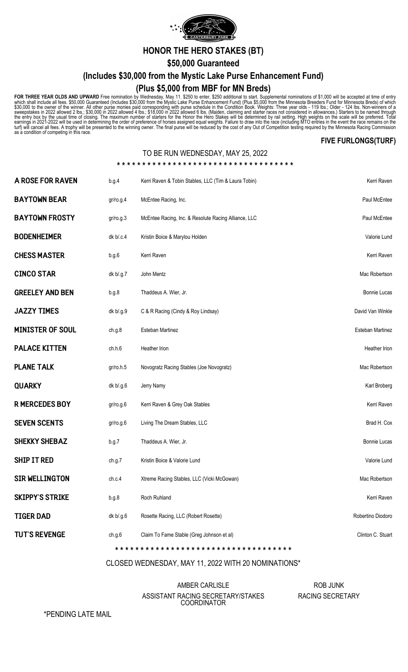

**HONOR THE HERO STAKES (BT)**

**\$50,000 Guaranteed**

**(Includes \$30,000 from the Mystic Lake Purse Enhancement Fund)**

## **(Plus \$5,000 from MBF for MN Breds)**

FOR THREE YEAR OLDS AND UPWARD Free nomination by Wednesday, May 11. \$250 to enter, \$250 additional to start. Supplemental nominations of \$1,000 will be accepted at time of entry<br>which shall include all fees. \$50,000 Guara

## **FIVE FURLONGS(TURF)**

## TO BE RUN WEDNESDAY, MAY 25, 2022

| A ROSE FOR RAVEN        | b.g.4     | Kerri Raven & Tobin Stables, LLC (Tim & Laura Tobin) | Kerri Raven         |
|-------------------------|-----------|------------------------------------------------------|---------------------|
| <b>BAYTOWN BEAR</b>     | gr/ro.g.4 | McEntee Racing, Inc.                                 | Paul McEntee        |
| <b>BAYTOWN FROSTY</b>   | gr/ro.g.3 | McEntee Racing, Inc. & Resolute Racing Alliance, LLC | Paul McEntee        |
| <b>BODENHEIMER</b>      | dk b/.c.4 | Kristin Boice & Marylou Holden                       | Valorie Lund        |
| <b>CHESS MASTER</b>     | b.g.6     | Kerri Raven                                          | Kerri Raven         |
| <b>CINCO STAR</b>       | dk b/.g.7 | John Mentz                                           | Mac Robertson       |
| <b>GREELEY AND BEN</b>  | b.g.8     | Thaddeus A. Wier, Jr.                                | <b>Bonnie Lucas</b> |
| <b>JAZZY TIMES</b>      | dk b/.g.9 | C & R Racing (Cindy & Roy Lindsay)                   | David Van Winkle    |
| <b>MINISTER OF SOUL</b> | ch.g.8    | Esteban Martinez                                     | Esteban Martinez    |
| <b>PALACE KITTEN</b>    | ch.h.6    | <b>Heather Irion</b>                                 | Heather Irion       |
| <b>PLANE TALK</b>       | gr/ro.h.5 | Novogratz Racing Stables (Joe Novogratz)             | Mac Robertson       |
| <b>QUARKY</b>           | dk b/.g.6 | Jerry Namy                                           | Karl Broberg        |
| <b>R MERCEDES BOY</b>   | gr/ro.g.6 | Kerri Raven & Grey Oak Stables                       | Kerri Raven         |
| <b>SEVEN SCENTS</b>     | gr/ro.g.6 | Living The Dream Stables, LLC                        | Brad H. Cox         |
| <b>SHEKKY SHEBAZ</b>    | b.g.7     | Thaddeus A. Wier, Jr.                                | <b>Bonnie Lucas</b> |
| <b>SHIP IT RED</b>      | ch.g.7    | Kristin Boice & Valorie Lund                         | Valorie Lund        |
| <b>SIR WELLINGTON</b>   | ch.c.4    | Xtreme Racing Stables, LLC (Vicki McGowan)           | Mac Robertson       |
| <b>SKIPPY'S STRIKE</b>  | b.g.8     | Roch Ruhland                                         | Kerri Raven         |
| <b>TIGER DAD</b>        | dk b/.g.6 | Rosette Racing, LLC (Robert Rosette)                 | Robertino Diodoro   |
| <b>TUT'S REVENGE</b>    | ch.g.6    | Claim To Fame Stable (Greg Johnson et al)            | Clinton C. Stuart   |
|                         |           |                                                      |                     |

CLOSED WEDNESDAY, MAY 11, 2022 WITH 20 NOMINATIONS\*

AMBER CARLISLE ASSISTANT RACING SECRETARY/STAKES **COORDINATOR** 

ROB JUNK RACING SECRETARY

\*PENDING LATE MAIL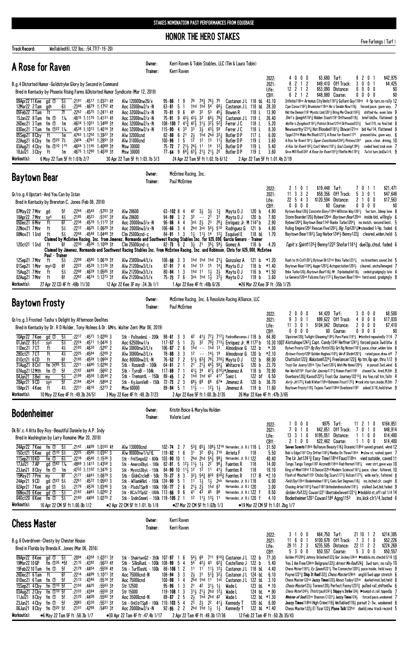**HONOR THE HERO STAKES** 

Five Furlongs (Turf)

| <b>Track Record:</b>                                                                                                                                                                                                                                        | Wellabled(6), 122 lbs; : 54.77(7-15-20)                                                                                                                                                                                                                                                                                                                                                                                                                                                                                                                                                                                                                        |                                                                                                                                        |                                                                                                                                                                                                                                                                                                                                                                                                                                                                                                                                                                                                                                                                                         |                                                                                                                                                                                                                                                                                                                                                                                                                                                                                                  |                                                                                                                                                                                                                                                                        |                                                                                                    |                                                                                                                                                          |                                                                                                                                                                                                                                                                                                                                                                                                                               |                                                                                                                                         |                                                                                                                      |                                                                                                                                                                                                                                                                                                                                                                                                                                                                                                                                                                                                                                                                                                                                                                                                                                                                                                                                                                                   |                                                                                               |                                                                                                           |                                               |
|-------------------------------------------------------------------------------------------------------------------------------------------------------------------------------------------------------------------------------------------------------------|----------------------------------------------------------------------------------------------------------------------------------------------------------------------------------------------------------------------------------------------------------------------------------------------------------------------------------------------------------------------------------------------------------------------------------------------------------------------------------------------------------------------------------------------------------------------------------------------------------------------------------------------------------------|----------------------------------------------------------------------------------------------------------------------------------------|-----------------------------------------------------------------------------------------------------------------------------------------------------------------------------------------------------------------------------------------------------------------------------------------------------------------------------------------------------------------------------------------------------------------------------------------------------------------------------------------------------------------------------------------------------------------------------------------------------------------------------------------------------------------------------------------|--------------------------------------------------------------------------------------------------------------------------------------------------------------------------------------------------------------------------------------------------------------------------------------------------------------------------------------------------------------------------------------------------------------------------------------------------------------------------------------------------|------------------------------------------------------------------------------------------------------------------------------------------------------------------------------------------------------------------------------------------------------------------------|----------------------------------------------------------------------------------------------------|----------------------------------------------------------------------------------------------------------------------------------------------------------|-------------------------------------------------------------------------------------------------------------------------------------------------------------------------------------------------------------------------------------------------------------------------------------------------------------------------------------------------------------------------------------------------------------------------------|-----------------------------------------------------------------------------------------------------------------------------------------|----------------------------------------------------------------------------------------------------------------------|-----------------------------------------------------------------------------------------------------------------------------------------------------------------------------------------------------------------------------------------------------------------------------------------------------------------------------------------------------------------------------------------------------------------------------------------------------------------------------------------------------------------------------------------------------------------------------------------------------------------------------------------------------------------------------------------------------------------------------------------------------------------------------------------------------------------------------------------------------------------------------------------------------------------------------------------------------------------------------------|-----------------------------------------------------------------------------------------------|-----------------------------------------------------------------------------------------------------------|-----------------------------------------------|
| A Rose for Raven                                                                                                                                                                                                                                            |                                                                                                                                                                                                                                                                                                                                                                                                                                                                                                                                                                                                                                                                |                                                                                                                                        | Owner:<br>Trainer:                                                                                                                                                                                                                                                                                                                                                                                                                                                                                                                                                                                                                                                                      |                                                                                                                                                                                                                                                                                                                                                                                                                                                                                                  | Kerri Raven                                                                                                                                                                                                                                                            |                                                                                                    |                                                                                                                                                          | Kerri Raven & Tobin Stables, LLC (Tim & Laura Tobin)                                                                                                                                                                                                                                                                                                                                                                          |                                                                                                                                         |                                                                                                                      |                                                                                                                                                                                                                                                                                                                                                                                                                                                                                                                                                                                                                                                                                                                                                                                                                                                                                                                                                                                   |                                                                                               |                                                                                                           |                                               |
|                                                                                                                                                                                                                                                             | B.g.4 Distorted Humor-Goldstryke Glory by Second in Command<br>Bred in Kentucky by Phoenix Rising Farms & Distorted Humor Syndicate (Mar 12, 2018)                                                                                                                                                                                                                                                                                                                                                                                                                                                                                                             |                                                                                                                                        |                                                                                                                                                                                                                                                                                                                                                                                                                                                                                                                                                                                                                                                                                         |                                                                                                                                                                                                                                                                                                                                                                                                                                                                                                  |                                                                                                                                                                                                                                                                        |                                                                                                    |                                                                                                                                                          |                                                                                                                                                                                                                                                                                                                                                                                                                               |                                                                                                                                         | 2022:<br>2021:<br>Life:<br>CBY:                                                                                      | 4000<br>8212<br>$12$ 2 1 2<br>6 2 1 2                                                                                                                                                                                                                                                                                                                                                                                                                                                                                                                                                                                                                                                                                                                                                                                                                                                                                                                                             | \$3,680 Turf:<br>8<br>\$49,410 Off Track:<br>3<br>\$53,090 Distance:<br>0<br>\$48,880 Course: | $\mathbf{2}$<br>0 <sub>1</sub><br>0 <sub>1</sub><br>0<br>0<br>$0\quad 0$<br>$0\,0\,0\,0$                  | \$42,875<br>\$4,425<br>\$0<br>\$0             |
| 09Apr22 11 Kee<br>12Mar22 2 Tam<br>gds<br>05Feb22 7Tam<br>ft<br>15Jan22 8 Tam<br>26Dec21 3 Tam<br>03Dec21 7 Tam<br>05Sep21 8 Cby<br>ft<br>22Aug21 6 Cby<br>03Aug21 4 Cby<br>18Jul21 3 Cby<br>ft<br>Workout(s):                                              | $\overline{.}$ :2191 :4517 1:0321 41<br>5½<br>gd <sup>T</sup><br>6½<br>$:23^{46}$ $:46^{79}$ 1:1752 41<br>7f<br>:2252 :4575 1:2411 41<br>fm ①<br>$1\%$<br>$:48^{15}$ 1:1176 1:4131 41<br>fm $1$<br>1m<br>$:4634$ 1:1031 1:3488 31<br>fm $\Phi^{22}$ 1%<br>:4538 1:1013 1:4014 31<br>$:4763$ 1:1250<br>1m<br>fm $\Phi^{20}$ 7%<br>:2404 :4761 1:2891 31<br>fm 10 170<br>:4664 1:1145 1:4069 31<br>:4675 1:1290 1:4039 31<br>1m<br>6 May 22 Tam 5F ft 1:01b 2/7                                                                                                                                                                                                  | 1:3927 31<br><b>Msw 30000</b><br>Msw 30000                                                                                             | Alw 120000nw2\$/x<br>Aoc 32000nw2/x-N<br>Aoc 32000nw2/x-N<br>Aoc 32000nw2/x-N<br>Aoc 32000nw2/x-N<br>Aoc 32000nw2/x-N<br>Alw 32000cnd<br>Alw 31000cnd<br>30 Apr 22 Tam 5F ft 1:03.1b 3/3                                                                                                                                                                                                                                                                                                                                                                                                                                                                                                | $95 - 86$<br>63-81<br>70-81<br>75-91 9 43 <sup>1</sup> / <sub>2</sub> 43 <sup>1</sup> / <sub>2</sub> 3 <sup>2</sup> 6 <sup>6</sup> <sup>1</sup> / <sub>2</sub> 78 <sup>3</sup> / <sub>4</sub><br>108-100 7 $41\frac{3}{4}$ $42\frac{1}{2}$ $31\frac{1}{2}$ $32\frac{1}{2}$ $52\frac{3}{4}$<br>$115 - 90$<br>4<br>$82 - 88 = 6$<br>$100 - 96$<br>$\overline{1}$<br>77-64 9 64 $\frac{1}{4}$ 6 <sup>3</sup> $\frac{1}{4}$ 2 <sup>1</sup> $\frac{1}{2}$ 2 <sup>1</sup> $\frac{1}{2}$ 2 <sup>2</sup> | 76<br>9<br>1hd<br>-5<br>6<br>44<br>9<br>33<br>33<br>2 <sup>1</sup><br>$2\frac{1}{2}$<br>12<br>5<br>75-72 7 2 <sup>1</sup> / <sub>2</sub> 2 <sup>4</sup> / <sub>2</sub> 1 <sup>1</sup> 1 <sup>4</sup> 1 <sup>2</sup> / <sub>4</sub><br>24 Apr 22 Tam 5F ft 1:02.1b 6/12 | 1hd 54<br>32<br>$3\frac{1}{2}$<br>1ĥd 2hd<br>1 <sup>2</sup>                                        | 743 761 75<br>$66\frac{1}{2}$<br>53<br>451<br>$43\overline{3}59$<br>$3^{2}$ $\frac{1}{4}$<br>1 <sup>3</sup><br>$11\frac{1}{2}$                           | Castanon JL 118 bL<br>Castanon JL 118 bL<br>Bowen R<br>Castanon JL 119 L<br>Ferrer J C<br>Ferrer J C<br>Butler D P<br>Butler D P<br>Butler D P<br>Butler D P                                                                                                                                                                                                                                                                  | 118 L<br>118L<br>118 L<br>117 L<br>119 L<br>119 L<br>119 L<br>2 Apr 22 Tam 5F ft 1:01.4b 2/19                                           | 43.10<br>28.30<br>13.90<br>26.40<br>5.20<br>8.30<br>6.00<br>3.60<br>5.40<br>3.60                                     | Infinite118ns Artemus Citylimits11813 Gallant Guy118nk 4-5p turn, no rally 12<br>Cjun Csnov11823 Brwmister118nk He's Smokin Now1183 forced pace, gave way, 7<br>Hid the Demon1181 Mystic Link12013 Bring Me Check1182 $\frac{3}{4}$ shifted 4w, even late 9<br>Shirl's Speight 1913 Hidden Stash 1191 Driftwood 1193 brief bid3w, flattened 9<br>Wolfie's Dynghost 1811 Patriot Drive 121hd Driftwood 1213<br>Newsworthy 1214 $\frac{1}{4}$ Hot Blooded 1181 $\frac{1}{4}$ Obiwan 121ns bid 4w/14, flattened 9<br>Tpge121hd Make Me Blush12121 A Rose for Raven1173<br>A Ros for Rven11913 Super Constitution12423 Pintxos1241<br>A Ros for Rven11921 Costl Wters11911 Soul Coxing11961<br>Grvs Mill Rod1242 <i>A Rose for Rven</i> 1191 <sub>2</sub> Flimflm Mn1191 <sub>2</sub>                                                                                                                                                                                                 |                                                                                               | 5wd 7/8, no final bid 8<br>pressed btw, gave way, 6<br>ceded lead, took over 7<br>7w1st turn, bid3w1/4, 9 | pace, clear, driving, 10                      |
| <b>Baytown Bear</b>                                                                                                                                                                                                                                         |                                                                                                                                                                                                                                                                                                                                                                                                                                                                                                                                                                                                                                                                |                                                                                                                                        | Owner:<br>Trainer:                                                                                                                                                                                                                                                                                                                                                                                                                                                                                                                                                                                                                                                                      |                                                                                                                                                                                                                                                                                                                                                                                                                                                                                                  | McEntee Racing, Inc.<br>Paul McEntee                                                                                                                                                                                                                                   |                                                                                                    |                                                                                                                                                          |                                                                                                                                                                                                                                                                                                                                                                                                                               |                                                                                                                                         | 2022:                                                                                                                | 2 1 0 1                                                                                                                                                                                                                                                                                                                                                                                                                                                                                                                                                                                                                                                                                                                                                                                                                                                                                                                                                                           | $$19,448$ Turf:                                                                               | 7011                                                                                                      | \$21,471                                      |
| Gr/ro.g.4 Upstart-And You Can by Istan<br>07May22 7 Mnr<br>gd<br>18Apr22 7 Mnr<br>sys<br>05Dec21 6 Mnr<br>ft                                                                                                                                                | Bred in Kentucky by Brereton C. Jones (Feb 08, 2018)<br>:2244 :4540<br>5f<br>4½<br>:2185<br>:4523<br>6f<br>:2236 :4579 1:1172 31<br>$5\%$<br>$:22^{12}$ $:46^{25}$ 1:06 <sup>29</sup> 31                                                                                                                                                                                                                                                                                                                                                                                                                                                                       | $:5783$ 31<br>Alw 28600<br>:5167 31<br>Alw 28600                                                                                       | Aoc 20000nw3/x-N                                                                                                                                                                                                                                                                                                                                                                                                                                                                                                                                                                                                                                                                        | $63 - 1028$<br>$94 - 99$ 3<br>$96 - 86$ 4 4                                                                                                                                                                                                                                                                                                                                                                                                                                                      | 42<br>32<br>2                                                                                                                                                                                                                                                          | $3\frac{1}{2}$<br>$\sim$ $-$                                                                       | $\frac{31}{21}$<br>$1\frac{3}{4}$<br>3 <sup>1</sup><br>3nk $2\frac{1}{2}$ $2^3$ $2^6\frac{1}{4}$<br>2hd $3\bar{n}$ k 54 $\frac{1}{2}$ 510                | Mayta 0 J<br>Mayta 0 J<br>Enriquez Jr. M 1147 b                                                                                                                                                                                                                                                                                                                                                                               | 120 b<br>120 <sub>b</sub>                                                                                                               | 2021:<br>Life:<br>CBY:<br>4.90<br>7.80<br>2.90                                                                       | $3 \t3 \t2$<br>\$58,356<br>11<br>$22 \t5 \t4 \t3$<br>\$120,594<br>$0\,0\,0$<br>0<br>Bytown Bear1203 Concrete Glory119hd Williston Way12014 5wi turn, 3deep lane 8<br>Storm Boarder1203 Bybee120nk Baytown Bear120nk inside bid, willingly 6<br>Bybee12061 Baytown Bear1143 Bankx Turbo12041 no match, second best, 5<br>Ruling Empire120 <sup>2</sup> Rescue Five120 <sup>2</sup> 3 Big Trip120 <sup>1</sup> > steadied 1/4p, faded 6                                                                                                                                                                                                                                                                                                                                                                                                                                                                                                                                             | Off Track:<br>5<br>Distance:<br>$\mathbf{2}$<br>\$0 Course:                                   | 3<br>0 <sub>1</sub><br>$0\quad0$<br>-1<br>$0\quad 0$<br>$0\quad 0$                                        | \$47,648<br>\$17,563<br>\$0                   |
| 22Nov21 7 Mnr<br>ft<br>ft<br>08Nov21 1 Ind<br>120ct21 1 Ind<br>ft                                                                                                                                                                                           | $5\%$<br>:2244 :4548 1:0449 31<br>Claimed by McEntee Racing, Inc. from Jimenez, Normando and Southwest Racing Stables Inc. for \$25,000, Garcia Genaro - Trainer<br>$:22^{30}$ $:45^{06}$ 1:1009 31<br>6f<br>Claimed by Jimenez, Normando and Southwest Racing Stables Inc. from McEntee Racing, Inc. and Robinson, Chris for \$25,000, McEntee                                                                                                                                                                                                                                                                                                                |                                                                                                                                        | Aoc 20000nw3/x-N<br>$C$ lm 25000 $c$ nd-c<br>$C$ lm 25000 $c$ nd-c                                                                                                                                                                                                                                                                                                                                                                                                                                                                                                                                                                                                                      | $106 - 66$ 3 4<br>$84 - 91$ 1 3                                                                                                                                                                                                                                                                                                                                                                                                                                                                  |                                                                                                                                                                                                                                                                        |                                                                                                    |                                                                                                                                                          | Rodriguez G<br>$1\frac{1}{2}$ $11\frac{1}{2}$ $14$ $12\frac{1}{4}$ Esquivel E<br>82-73 6 2 $3\frac{1}{2}$ 2 <sup>1</sup> $35\frac{1}{2}$ 5 <sup>9</sup> / <sub>2</sub> Gomez A                                                                                                                                                                                                                                                | 121 b<br>118 bL<br>118 b                                                                                                                | 4.80<br>1.70<br>4.20                                                                                                 | Baytown Bear11821 Sag Harbor12441 Benny1223 cleared, widen, held 5<br>Tapit's Spirit1353 Benny1222 Shofar11813 duel3p, chsd, faded 6                                                                                                                                                                                                                                                                                                                                                                                                                                                                                                                                                                                                                                                                                                                                                                                                                                              |                                                                                               |                                                                                                           |                                               |
| 12Sep21 7 Mnr<br>ft<br>01Sep21 1 Mnr<br>15Aug21 7 Mnr<br>ft<br>02Aug21 7 Mnr<br>ft<br>Workout(s):                                                                                                                                                           | Paul - Trainer<br>$:22^{08}$ $:45^{80}$ 1:0619 31<br>$5\%$<br>6f<br>mys@<br>$:22^{22}$ $:45^{39}$ 1:1126 31<br>5%<br>$:22^{68}$ $:46^{39}$ 1:0585 31<br>6f<br>:22 <sup>62</sup> :46 <sup>14</sup> 1:12 <sup>73</sup> 31<br>27 Apr 22 CD 4F ft: 48b 11/30                                                                                                                                                                                                                                                                                                                                                                                                       |                                                                                                                                        | Alw 23800nw4/L/x<br>Alw 21200nw3/L/x<br>Alw 21200nw3/L/x<br>Alw 21200nw3/L/x<br>12 Apr 22 Kee 3F my :34.3b 1/1                                                                                                                                                                                                                                                                                                                                                                                                                                                                                                                                                                          | $108 - 88$ 3 3<br>$87 - 91$ 7 4<br>$80 - 84$ 1 3<br>$75 - 73$ 7 6                                                                                                                                                                                                                                                                                                                                                                                                                                | 1 Apr 22 Kee 4F ft: 48b 6/26                                                                                                                                                                                                                                           | 1hd 11 $1\frac{1}{2}$ $2\frac{1}{2}$                                                               |                                                                                                                                                          | 1hd 1hd 1hd $2^{11}$ Gonzalez A<br>1hd 13 15 141 Mayta 0 J<br>Mayta 0 J<br>3nk 1hd 1} 31} Mayta 0 J                                                                                                                                                                                                                                                                                                                           | 121 b<br>118 b<br>116 <sub>b</sub><br>119 <sub>b</sub><br>●26 Mar 22 Kee 3F ft: 35b 1/25                                                | *1.20<br>*1.40<br>*1.50<br>3.60                                                                                      | Rush to th Cst112011 Bytown Br121nk Bnkx Turbo12311 no breathers saved 2nd 5<br>Baytown Bear11841 Auger12033 Actspectation12031 cleared, unchalleneged 7<br>Bnkx Turbo120} Baytown Bearl 16} Mr. Tripledouble116} ceded grudgingly late 4<br>Le General120nk Falcons Fury11711 Baytown Bear119ns hard used, grudgingly 8                                                                                                                                                                                                                                                                                                                                                                                                                                                                                                                                                                                                                                                          |                                                                                               |                                                                                                           |                                               |
| <b>Baytown Frosty</b>                                                                                                                                                                                                                                       |                                                                                                                                                                                                                                                                                                                                                                                                                                                                                                                                                                                                                                                                |                                                                                                                                        | Owner:<br>Trainer:                                                                                                                                                                                                                                                                                                                                                                                                                                                                                                                                                                                                                                                                      |                                                                                                                                                                                                                                                                                                                                                                                                                                                                                                  | Paul McEntee                                                                                                                                                                                                                                                           |                                                                                                    |                                                                                                                                                          | McEntee Racing, Inc. & Resolute Racing Alliance, LLC                                                                                                                                                                                                                                                                                                                                                                          |                                                                                                                                         |                                                                                                                      |                                                                                                                                                                                                                                                                                                                                                                                                                                                                                                                                                                                                                                                                                                                                                                                                                                                                                                                                                                                   |                                                                                               |                                                                                                           |                                               |
| 10Apr22 7 Kee gd ①<br>01Jan22 8Lrl<br>sys<br>11Dec21 7 CT<br>ft<br>280ct21 7 CT<br>010ct21 6 CD<br>ft<br>31Aug21 8 Cn1<br>07Aug2112 Mth<br>04Jun21 3 Bel<br>my<br>28Apr21 9 CD<br>sys<br>18Apr21 4 Kee<br>ft<br>Workout(s):                                 | Gr/ro.g.3 Frosted-Tasha's Delight by Afternoon Deelites<br>Bred in Kentucky by Dr. R D Holder, Tony Holmes & Dr. & Mrs. Walter Zent (Mar 06, 2019)<br>$-5\%$<br>:2217 :4573 1:0280 3<br>$5\%$<br>$:22^{24}$ $:45^{71}$ 1:0436 3<br>:4630<br>4½<br>:2193<br>ft<br>$4\frac{1}{2}$<br>$:22^{25}$<br>:4584<br>6f<br>:2165<br>:4509<br>$fm = 65.5%$<br>:2221<br>:4490<br>fm $0$<br>:2162<br>:4446<br>5f<br>5%<br>:2199<br>:4558<br>5f<br>$: 2184$ $: 4534$<br>$4\frac{1}{2}$<br>:2231<br>:4616<br>10 May 22 Kee 4F ft : 49.3b 24/51                                                                                                                                 | $:5297$ 2<br>$:5209$ 2<br>$1:0904$ 2<br>$1:0294$ 2<br>$:5662$ 2<br>$1:0544$ 2<br>$:5864$ 2<br>$:5273$ 2<br><b>Msw 60000</b>            | Stk - PalisadesL - 200k 98-61 3 3 42 413 773 7171 PadronBarcenas J 118 b<br>Aoc 62500nw1/x<br>Alw 30800nw3/L/x<br>Alw 30800nw2/L/x<br>Aoc 80000nw2/L-N<br>Stk - RosiesB - 100k<br>Stk - TyroB - 104k<br>$Stk$ – TremontL – 150 $k$<br>Stk - KyJuvnileB - 150k 72-73 2 3<br>3 May 22 Kee 4F ft : 48.2b 7/23                                                                                                                                                                                                                                                                                                                                                                              | $117 - 57$ 5 1<br>$106 - 87$ 2 6<br>$78 - 88$<br>-3<br>$76 - 52$ 7 2<br>$64 - 61$ 2 1<br>$117 - 69$<br>89-45<br>$89 - 84$ 5 1                                                                                                                                                                                                                                                                                                                                                                    | 3<br>12<br>71<br>1 <sub>2</sub><br>2 Apr 22 Kee 5F ft 1:00.3b 2/35                                                                                                                                                                                                     | 1hd<br>$68\frac{1}{2}$ 69<br>$11\frac{1}{2}$ -- $12\frac{1}{2}$ $1\frac{1}{2}$                     | -- 1hd 13<br>$--$ 14 $\frac{1}{2}$ 18                                                                                                                    | $2\frac{1}{2}$ $3^{2}$ $7^{9\frac{3}{4}}$ $7^{13\frac{1}{2}}$ Enriquez Jr. M 1177 b<br>Almodovar G<br>Almodovar G<br>$5^{11}_{2}$ 6 <sup>3</sup> / <sub>4</sub> 7 <sup>8</sup> / <sub>2</sub> 7 <sup>20</sup> / <sub>2</sub> Mayta 0 J<br>$21^{7}$ $21^{1}_{2}$ $44^{1}_{2}$ $58^{1}_{4}$ Whitacre G<br>411 34 471 6101*Jimenez A<br>1hd 1hd 43 <sup>6</sup> 417 <sup>6</sup> Saez L<br>$6^8$ $6^{7*}$ Jimenez A<br>Jimenez A | 122 b<br>120 b<br>122 b<br>120 <sub>b</sub><br>118 <sub>b</sub><br>122 bf<br>120 b<br>119 <sub>b</sub><br>26 Mar 22 Kee 4F ft :47b 3/65 | 2022:<br>2021:<br>Life:<br>CBY:<br>64.80<br>$*.30$<br>*2.10<br>88.00<br>23.70<br>70.90<br>6.50<br>36.70<br>11.60     | 00<br>2<br>$\mathbf 0$<br>301<br>9<br>$11 \t3 \t0 \t1$<br>$0\,0\,0$<br>Slipstrem120 Twilight Gleaming 1185 } Pure Panic 1181 bothrd repeatedly 7/16 7<br>10.30 1007 Alottahope1242 $1$ Capt. Candy1242 Heffner1241 $1$ forced pace 3wd btw 8<br>Bytwn Frosty1223 Bg Boy Potts1201 Grt Bg Noton11813 pace, clear, widen late 6<br>Bytown Frosty1208 Golden Hughes11831 We B Shckin12013 rated pace, drew off 7<br>Chattalot1223 Nakatom12241 Freelancer1223 4p trn, 6p upr, thru 1/2 9<br>Trust Our Journy 120nk Tjno Twist 1203 $\frac{1}{4}$ Wish Me Home 1204 $\frac{1}{2}$ in pursuit 2wd, wknd 6<br>Her World1156 Trust Our Journey11713 Roman Poet1182 chased 3w, tired, PL5th 8<br>Overbore1203 Kavod12221 Trust Our Journey122133 ins foe, rail trn, faltr 4<br>Avrly Jn1173 <sub>4</sub> Vodk N Wter118hd Bohemin Frost1172 <sub>4</sub> ▶rank into turn, inside, PL5th 7<br>Baytown Frosty 1194 Tejano Twist119hd Overbore1192 asked 3/16, held btwn 9                   | \$4,420 Turf:<br>\$99,622 Off Track:<br>4<br>\$104,042 Distance:<br>\$0 Course:               | $0\quad0$<br>30<br>$0\ 0\ 0$<br>2 <sub>0</sub><br>$0\quad 0$<br>$0\ 0\ 0\ 0$                              | \$8,500<br>\$17,830<br>\$7,410<br>\$0         |
| <b>Bodenheimer</b>                                                                                                                                                                                                                                          |                                                                                                                                                                                                                                                                                                                                                                                                                                                                                                                                                                                                                                                                |                                                                                                                                        | Owner:<br>Trainer:                                                                                                                                                                                                                                                                                                                                                                                                                                                                                                                                                                                                                                                                      |                                                                                                                                                                                                                                                                                                                                                                                                                                                                                                  | Kristin Boice & Marylou Holden<br>Valorie Lund                                                                                                                                                                                                                         |                                                                                                    |                                                                                                                                                          |                                                                                                                                                                                                                                                                                                                                                                                                                               |                                                                                                                                         |                                                                                                                      |                                                                                                                                                                                                                                                                                                                                                                                                                                                                                                                                                                                                                                                                                                                                                                                                                                                                                                                                                                                   |                                                                                               |                                                                                                           |                                               |
| 24Apr22 7 Kee<br>150ct21 5 Kee<br>11Sep2110KD<br>17Jul21 7 AP<br>23Jun21 8 Cby<br>15May21 7 Prm<br>my<br>24Apr21 9 CD<br>02Apr21 7Kee<br>06Nov20 6 Kee<br>040ct20 6 Kee<br>Workout(s):                                                                      | Dk B/.c.4 Atta Boy Roy-Beautiful Daniele by A.P. Indy<br>Bred in Washington by Larry Romaine (Mar 20, 2018)<br>fm $\overline{O}$ 5½<br>:21 <sup>42</sup> :44 <sup>09</sup> 1:01 <sup>63</sup> 41<br>gd 10 5%<br>$:22^{25}$ $:45^{66}$ 1:0367 3<br>fm ①<br>- 6½<br>$:22^{18}$ $:45^{46}$ 1:1538 3<br>gd ①62 1‰<br>$:4969$ 1:1413 1:4358 3<br>:4732 1:1102 1:3476 3<br>fm ①<br>1m<br>:2177 :4443 1:0879 3<br>6f<br>gd ①22 5%<br>:2251 :4572 1:0563 3<br>$\mathfrak{g}$ d $\mathfrak{O}$<br>:2176 :4536 1:0346 3<br>- 5½<br>gd <sup>1</sup><br>$5\%$<br>:2162 :4463 1:0282 2<br>fm ①<br>$5\%$<br>$:21^{60}$ $:44^{56}$ 1:0270 2<br>16 Apr 22 CM 5F ft 1:00.0b 1/2 |                                                                                                                                        | Alw 130000cnd<br>Alw 90000nw1/s/tL<br>Stk - FrkISmpsG2 - 600k 103-90 10 1<br>Stk - AmercnDbyL - 100k 82-81 5 12 $\frac{1}{2}$ 11 $\frac{1}{2}$ 1 $\frac{1}{2}$ 2 <sup>2</sup> 9 <sup>6</sup> $\frac{1}{4}$ Fuentes R<br>Stk - MystcLDbyL - 150k 84-90 10 $11\frac{1}{2}$ 1 <sup>2</sup> 1 <sup>2</sup> 1 <sup>1</sup> 4 <sup>1</sup> / <sub>2</sub> Fuentes R<br>Stk - GldnCrcleB - 50k 78-27 8 3<br>Stk - WilamWikrL - 150k 124-90 5 1<br>Stk - PlsdsTSprB - 100k 106-77 2 6<br>Stk - BCJvTfSpG2 - 1000k 113-86 9 6<br>Stk - IndinSmmrL - 150k 119-105 2 1 1 <sup>2</sup> 1 <sup>1</sup> / <sub>2</sub> 1 <sup>3</sup> / <sub>2</sub> 1 <sup>1</sup><br>•2 Apr 22 CM 5F ft 1:01.1b 1/8 | $102 - 74$ 2 7<br>$119 - 82$ 1                                                                                                                                                                                                                                                                                                                                                                                                                                                                   | 3 <sup>1</sup><br>6<br>11<br>●27 Mar 22 CM 5F ft 1:02b 1/3                                                                                                                                                                                                             | $1\frac{1}{2}$<br>$2^{11}$ $2^{11}$<br>$41^{\degree}$ $43^{\degree}$ $45^{\degree}$ $88^{\degree}$ | 2hd 2hd $54\frac{1}{2}$ $99\frac{1}{4}$<br>1 $h$ d $67$                                                                                                  | $53\frac{3}{4}$ 65 $\frac{1}{4}$ 108 $\frac{1}{2}$ 1214 Hernandez, Jr. B J 118 L<br>32 651 710 Arrieta F<br>Hernandez, Jr. B J 122<br>$3^{2}\frac{1}{2}$ 54 $\frac{3}{4}$ 8 <sup>20</sup> 8 <sup>30</sup> $\frac{3}{4}$ Fuentes R<br>11 2nk Hernandez, Jr. B J 118<br>Hernandez, Jr. B J 120<br>Hernandez, Jr. B J 122 f<br>Hernandez, Jr. B J 120 f                                                                          | 118<br>118<br>118<br>117 $B$<br>•19 Mar 22 CM 5F ft 1:01.2bg 1/7                                                                        | 2022:<br>2021:<br>Life:<br>CBY:<br>31.50<br>5.50<br>40.40<br>14.00<br>19.10<br>*2.10<br>6.00<br>3.00<br>8.50<br>4.10 | $0\,$ $0\,$ $0\,$<br>\$42,851<br>0 1 0<br>7<br>$13$ 3 1 0<br>2100<br>Seven Scents118nk Bullseye Beauty1163 Oceanic118hd saved ground, wknd 12<br>Bob's Edge1181 City Drifter1183} Mamba On Three118nk ▶slow st, rushed, spent 7<br>The Lir Jet12413 Easy Time118hd Fauci118ns vied outside, caved 11<br>Tango Tango Tango 1182 Accredit 118nk Red Hornet 1181 <sub>4</sub> veer strt, gave way 10<br>King of Mimi118hd T D Dance122hd Modern Science11611 pace, clear, faltered, 10<br>Flash of Mischief1191 Chicks Dig Scars1171 $\frac{3}{4}$ Vulcan1173 $\frac{1}{4}$ wide early, faltered 8<br>Field Day118nk Bodenheimer11811 Cees Get Degrees1181 ins, inched clr, caught 8<br>Chasing Artie11813 Fauci1182 Unitedandresolute11813 stalked 2wd, bid, faded 9<br>Golden Pa/122½ Cowan1221 Ubettabelieveit1221½ ▶bobbld st, off rail 1/4 14<br>Bodenheimer 1201 Cowan1186 Agog1153                                                                                            | \$975 Turf:<br>Off Track:<br>$\overline{7}$<br>\$195,051 Distance:<br>\$22,462 Course:        | 11 2 1 0<br>0<br>10<br>100<br>0 <sub>0</sub><br>11<br>ins, kick clr1/4, lasted 6                          | \$164,851<br>\$48,914<br>\$14,400<br>\$14,400 |
| <b>Chess Master</b>                                                                                                                                                                                                                                         |                                                                                                                                                                                                                                                                                                                                                                                                                                                                                                                                                                                                                                                                |                                                                                                                                        | Owner:<br>Trainer:                                                                                                                                                                                                                                                                                                                                                                                                                                                                                                                                                                                                                                                                      |                                                                                                                                                                                                                                                                                                                                                                                                                                                                                                  | Kerri Raven<br>Kerri Raven                                                                                                                                                                                                                                             |                                                                                                    |                                                                                                                                                          |                                                                                                                                                                                                                                                                                                                                                                                                                               |                                                                                                                                         |                                                                                                                      |                                                                                                                                                                                                                                                                                                                                                                                                                                                                                                                                                                                                                                                                                                                                                                                                                                                                                                                                                                                   | \$64,750 Turf:                                                                                | 21 10 1 2                                                                                                 | \$214,385                                     |
| B.g.6 Overdriven-Chesty by Chester House<br>09Apr22 8Kee<br>19Mar 22 10 GP<br>19Feb22 10 Tam<br>26Dec21 6 Tam<br>ft<br>01Dec21 6 Tam<br>15Sep21 4 Cby<br>03Aug21 2 Cby<br>11Jul21 8 Cby<br>23Jun21 $4$ Cby fm $\circled{1}$<br>06Jun21 8 Cby<br>Workout(s): | Bred in Florida by Brenda K. Jones (Mar 06, 2016)<br>gd <sup>th</sup><br>$5\%$<br>:2094 :4358 1:0221 31<br>$\mathsf{fm}$ $\mathbb{O}^{35}$ *5f<br>$:21^{15}$ :4392<br>fm ①<br>:2179<br>- 5f<br>:4454<br>6f<br>:2214 :4499 1:1071 31<br>5f<br>$:21^{13}$ $:43^{46}$<br>fm ①<br>fm $\mathbb{O}^{10}$ 5f<br>:2150<br>:4425<br>$:21^{03}$ $:43^{64}$<br>fm $\mathbb{O}^{10}$ 5f<br>:2120<br>:4409<br>fm ①<br>5f<br>:2093<br>- 5f<br>:4330<br>fm ① <sup>20</sup> 5f<br>$:21^{01}$ $:42^{88}$<br>•6 May 22 Tam 5F ft: 58.3b 1/7                                                                                                                                      | $:56^{23}$ 41<br>$:5556$ 41<br>$:55^{14}3t$<br>Str 12500<br>$:5563$ 31<br>:555031<br>Str 15000<br>$:5582$ 31<br>:5531 31<br>$:5483$ 31 | Stk - ShakrtwnG2 - 350k 107-97 1 6<br>Stk - SilksRunL - 100k 108-99 5 4<br>Stk - TurfDashL - 100k 88-106 1 2<br>Aoc 75000cnd-N<br>Aoc 75000cnd<br>Aoc 35000cnd-N<br>Stk - DrkStrTSpB - 100k 110-103 5 4<br>Aoc 20000nw2/x-N<br>•30 Apr 22 Tam 4F ft :47.4b 1/17                                                                                                                                                                                                                                                                                                                                                                                                                         | $108 - 94$ 3 3<br>$100 - 98$ 1 4<br>$95 - 96$ 1 3<br>$119 - 108$ 1 3<br>$89 - 87$ 2 5<br>$92 - 95$ 2                                                                                                                                                                                                                                                                                                                                                                                             | 1 <sup>1</sup><br>$2\frac{1}{2}$<br>2 <sup>1</sup><br>$2^{1}$<br>$2^{\overline{3}}$<br>$\mathbf{2}$<br>2 Apr 22 Tam 4F ft: 49.3b 17/36                                                                                                                                 | 1 <sup>1</sup><br>2hd 1hd 1½ 1½                                                                    | $11\frac{1}{2}$ $12\frac{1}{2}$<br>$31 \quad 51\frac{5}{4} \quad 32\frac{7}{2}$<br>2hd 1hd $11$ 1nk<br>$42 \t31\frac{1}{2} \t1\frac{1}{2}$<br>1hd 2hd 42 | $54\frac{1}{2}$ 68 711 910 $\frac{3}{4}$ Castanon J L 122 b<br>$5^4$ $4^2$ , $4^3$ $6^2$ , Castellano J 122 b<br>Castanon JL 118 bL<br>Castanon JL 124 bL<br>Castanon JL 122 bL<br>Wade L<br>$3^{11}_{2}$ 2 <sup>1</sup> / <sub>2</sub> 2hd 1 <sup>2</sup> / <sub>2</sub> Wade L<br>Wade L<br>$2\frac{1}{2}$ 2 <sup>2</sup> $4^{1}\frac{1}{4}$ Kennedy T<br>Kennedy T                                                         | 123 bL<br>124 bL *.90<br>122 bL *1.30<br>120 bL 6.00<br>122 bl *1.40<br>12 Feb 22 Tam 4F ft :50.2b 35/43                                | 2022:<br>2021:<br>Life:<br>CBY:<br>77.30<br>5.40<br>4.40<br>6.10<br>3.10<br>$*.10$                                   | 100<br>3<br>601<br>\$100,678<br>11<br>\$235,505<br>29 11 2 3<br>5300<br>Golden P11264 3 Johnny Unleshed122 3 Ger Jockey 124nk ▶bobble, ins, checkd 5/16 10<br>Yes I Am Free124nk Belgrano1223 Arrest Me Red1243 3wd turn, no rally 10<br>Chess Mster118 <sup>2</sup> 2 Xy Speed122 <sup>1</sup> 2 The Connector120 <sup>2</sup> pace inside, held sway 9<br>Payne12213 Ship It Red1223 Chess Master124nk angld 5wd uppr stretch 6<br>Chess Master122nk Jazzy Times1223 About Today122nk dueled insd, led, held 8<br>Chess Master1233 Toreno1203 Perfect Fanny12323 pulled rail, shifted3w 6<br>Chess Mster1242} Thtsfctjack1241} Skippy's Strike 124} ▶bumpd st,rail,tipped2p 7<br><b>Minister of Soul</b> 122nk Shannon C1221 <sub>4</sub> Jazzy Times124 <sub>2</sub> forced pace, weakened 7<br>Jazzy Times 118hd High Crime 1183 Wellabled 1183 pursuit 2-3w, weakened 8<br>Chess Master122 $\frac{1}{2}$ E1 Tizar122 $\frac{3}{2}$ Plane Talk122hd dueld, new track record 5 | Off Track:<br>Distance:<br>\$50,557 Course:                                                   | 7310<br>22 11 2 2<br>5300                                                                                 | \$52,226<br>\$224,269<br>\$50,557             |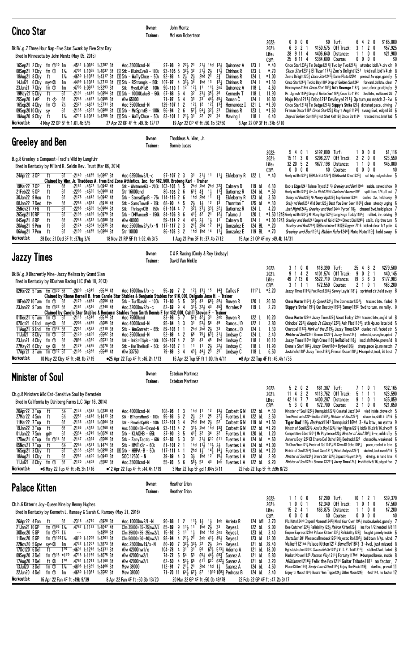| <b>Cinco Star</b>                                                                                                                                                                                                                                                                                                                                                                                                                                                                                                                                                                                                                                                                                                                                                                                                          | Owner:<br>Trainer:                                                                                                                                                                                                                                                                                                                                                                                                                                                                                                                                                                                    | John Mentz<br>McLean Robertson                                                                                                                                                                                                                                                                                                                                                                                                                                                                                                                                         |                                                                                                                                                                                                                                                                                                                                                                                                |                                                                                                                                                                                                                               |                                                                                                                          |                                                                                                                                                                                                                                                                                                                                                                                                                                                                                                                                                                                                                                                                                                                                                                                                                                                                                                                                                                                                                                                      |
|----------------------------------------------------------------------------------------------------------------------------------------------------------------------------------------------------------------------------------------------------------------------------------------------------------------------------------------------------------------------------------------------------------------------------------------------------------------------------------------------------------------------------------------------------------------------------------------------------------------------------------------------------------------------------------------------------------------------------------------------------------------------------------------------------------------------------|-------------------------------------------------------------------------------------------------------------------------------------------------------------------------------------------------------------------------------------------------------------------------------------------------------------------------------------------------------------------------------------------------------------------------------------------------------------------------------------------------------------------------------------------------------------------------------------------------------|------------------------------------------------------------------------------------------------------------------------------------------------------------------------------------------------------------------------------------------------------------------------------------------------------------------------------------------------------------------------------------------------------------------------------------------------------------------------------------------------------------------------------------------------------------------------|------------------------------------------------------------------------------------------------------------------------------------------------------------------------------------------------------------------------------------------------------------------------------------------------------------------------------------------------------------------------------------------------|-------------------------------------------------------------------------------------------------------------------------------------------------------------------------------------------------------------------------------|--------------------------------------------------------------------------------------------------------------------------|------------------------------------------------------------------------------------------------------------------------------------------------------------------------------------------------------------------------------------------------------------------------------------------------------------------------------------------------------------------------------------------------------------------------------------------------------------------------------------------------------------------------------------------------------------------------------------------------------------------------------------------------------------------------------------------------------------------------------------------------------------------------------------------------------------------------------------------------------------------------------------------------------------------------------------------------------------------------------------------------------------------------------------------------------|
| Dk B/.g.7 Three Hour Nap-Five Star Swank by Five Star Day<br>Bred in Minnesota by John Mentz (May 05, 2015)                                                                                                                                                                                                                                                                                                                                                                                                                                                                                                                                                                                                                                                                                                                |                                                                                                                                                                                                                                                                                                                                                                                                                                                                                                                                                                                                       |                                                                                                                                                                                                                                                                                                                                                                                                                                                                                                                                                                        |                                                                                                                                                                                                                                                                                                                                                                                                | 2022:<br>2021:<br>Life:<br>CBY:                                                                                                                                                                                               | 0<br>$0\ 0\ 0$<br>$3 \t2 \t1$<br>6<br>28 9 11 4<br>25 8 11 4                                                             | \$0 Turf:<br>\$165,000<br>6 4 2 0<br>\$150,575 Off Track:<br>$\mathbf{2}$<br>\$57,925<br>3<br>0<br>\$21,900<br>\$406,640 Distance:<br>0<br>0<br>\$384,600 Course:<br>0<br>$0\quad 0$<br>0<br>\$0                                                                                                                                                                                                                                                                                                                                                                                                                                                                                                                                                                                                                                                                                                                                                                                                                                                     |
| 16Sep21 2 Cby fm 10 10 1m<br>:4541 1:0830 1:3287 31<br>fm ①<br>:4701 1:1065<br>08Sep21 7 Cby<br>1‰<br>18Aug21 8 Cby<br>1‰<br>:4650 1:1073 1:4317 31<br>ft<br>14Jul21 6 Cby mys $\otimes$<br>1m<br>:4705 1:0977<br>$1:3293$ 3t<br>23Jun21 7 Cby<br>fm ①<br>1m<br>19May21 5 Cby<br>ft<br>6f<br>6f<br>:2248<br>25Sep20 1 AP<br>ft ◈<br>$:4497$ 1:0955 31<br>:2371 :4661 1:2731 31<br>7½<br>fm ①<br>16Sep20 4 Cby<br>6f<br>09Sep2010Cby sy<br>19Aug20 9 Cby<br>1‰<br>ft<br>4 May 22 OP 5F ft 1:01.4b 5/5<br>Workout(s):                                                                                                                                                                                                                                                                                                        | Aoc 35000cnd-N<br>1:40 <sup>37</sup> 31 $\boxed{5}$ Stk - BlairsCveB - 100k 93-105 5 32 $\frac{1}{2}$ 32<br>S Stk - WallyChce - 50k<br>:4499 1:1021 1:3713 31 SStk - RStrangis - 50k 107-97 4<br>Stk - MystLkMleB - 100k 90-110 1 12<br>:2191 :4419 1:0854 31 SStk - 10000LakeB - 50k 67-88 6 4<br>Alw 65000<br>Aoc 35000cnd-N<br>:2136 :4393 1:0880 31 SStk - MnSprntB - 100k 56-94 2 6<br>:47 <sup>12</sup> 1:10 <sup>81</sup> 1:42 <sup>55</sup> 31 SStk - WallyChce - 50k 83-101 1 2 <sup>1</sup> / <sub>2</sub> 3 <sup>1</sup> 2 <sup>2</sup> 2 <sup>2</sup><br>27 Apr 22 OP 4F ft : 49.3b 12/17 | $97 - 98$ 9 $2^2$ 21<br>$2^{11}$ , $2^{1}$<br>92-93 4 $2\frac{1}{2}$ $2\frac{1}{2}$<br>2hd<br>$3\bar{3}$ $\frac{1}{2}$ $3\bar{4}$<br>1hd 1 <sup>3</sup><br>$12\frac{1}{2}$ 11 $11\frac{1}{2}$<br>32<br>$33\frac{1}{2}$ $35\frac{1}{2}$<br>3 <sup>3</sup><br>$71 - 97$ 6 4<br>$12\frac{1}{2}$ $12$ $12\frac{1}{2}$ $13\frac{3}{4}$<br>$129 - 107$ 1 2<br>$57\frac{1}{2}$ $54\frac{1}{4}$ $32\frac{1}{2}$ 23<br>19 Apr 22 OP 4F ft: 50.1b 32/50                                                                                                                          | $2^{11}$ 1hd $1^{21}$ Quinonez A<br>$11\frac{1}{2}$<br>Chirinos R<br>$2\frac{3}{4}$<br>2 <sup>1</sup><br>Chirinos R<br>$1^{2}$<br>Chirinos R<br>2ns<br>Quinonez A<br>36<br>Kennedy T<br>$3^3$ 44 $\frac{1}{2}$ 45 $\frac{1}{4}$<br>Roman C<br>Hernandez I<br>Chirinos R<br>34<br>Mawing L                                                                                                      | 123L<br>*.40<br>123 L<br>$*.70$<br>124 L<br>$*1.00$<br>124 L<br>$*1.30$<br>118 L<br>4.60<br>118L<br>11.90<br>124 L<br>16.80<br>121 L<br>$*1.90$<br>123L<br>$*1.60$<br>118 L<br>6.40<br>8 Apr 22 OP 3F ft : 37b 6/10           |                                                                                                                          | Cinco Star1232 J Tin Badge1211 $\frac{3}{4}$ Two by Two1213 $\frac{1}{4}$ attnded, bid1/4, drv clr 9<br><i>Cinco Star</i> 12314 El Tizar11714 Zoe's Delight1231 trkd rail, bid1/4, dr 8<br>Zoe's Delight 120 3 <i>Cinco Star</i> 124 <sup>5</sup> 3 Dame Plata 120hd pressd, 4w uppr, gamely 5<br>Cinco Star1242 Twoko Bay1185 Drop of Golden Sun1242 forward, bid btw, clear<br>Hieronymus118ns <i>Cinco Star</i> 118 <sup>23</sup> / <sub>4</sub> Tut's Revenge 118 <sup>1</sup> / <sub>2</sub> pace, clear, grudgingly 9<br>Mr. Jgrmstr11843 Drop of Goldn Sun11811 Cnco Str118hd 3wd btw, outkicked 2d 7<br>Mojo Man1211, Dabo1212 Devileye1211, $\frac{3}{4}$ 3p turn, no match 3-2w 6<br>Cinco Star12133 Tin Badge12123 Skippy's Strike 1213 dictated pace, driving 7<br>Fireman Oscar1183 <i>Cinco Star</i> 1231 Ray's Angel11983 swung 5wd, edged 2d 6<br>Drop of Golden Sun11831 Hot Shot Kid1181 Cinco Str1186 tracked insd, brief bid 5                                                                                                   |
| Greeley and Ben                                                                                                                                                                                                                                                                                                                                                                                                                                                                                                                                                                                                                                                                                                                                                                                                            | Owner:<br>Trainer:                                                                                                                                                                                                                                                                                                                                                                                                                                                                                                                                                                                    | Thaddeus A. Wier, Jr.<br><b>Bonnie Lucas</b>                                                                                                                                                                                                                                                                                                                                                                                                                                                                                                                           |                                                                                                                                                                                                                                                                                                                                                                                                |                                                                                                                                                                                                                               |                                                                                                                          |                                                                                                                                                                                                                                                                                                                                                                                                                                                                                                                                                                                                                                                                                                                                                                                                                                                                                                                                                                                                                                                      |
| B.g.8 Greeley's Conquest-Traci's Wild by Langfuhr<br>Bred in Kentucky by Millard R. Seldin Rev. Trust (Mar 06, 2014)<br>$^-$ :2149 :4435 1:0867 31<br>24Apr22 3 OP<br>ft<br>6f<br>Claimed by Wier, Jr. Thaddeus A. from End Zone Athletics, Inc. for \$62,500, Broberg Karl – Trainer                                                                                                                                                                                                                                                                                                                                                                                                                                                                                                                                      | Aoc 62500nw3/L-c                                                                                                                                                                                                                                                                                                                                                                                                                                                                                                                                                                                      | 97-107 2 3 31 31 11 11 Eikleberry R 122 L                                                                                                                                                                                                                                                                                                                                                                                                                                                                                                                              |                                                                                                                                                                                                                                                                                                                                                                                                | 2022:<br>2021:<br>Life:<br>CBY:<br>*.40                                                                                                                                                                                       | \$192,800 Turf:<br>5401<br>151130<br>32 20 5 2<br>$0\ 0\ 0\ 0$<br>Grely nd Bn12211 DEMch Bttr12223 DEAbsolut Chos12223   | $0\quad 0$<br>\$1,116<br>0<br>\$296,277 Off Track:<br>$0\quad0$<br>\$23,550<br>2<br>$\mathbf{2}$<br>\$677,198 Distance:<br>\$45,000<br>$\mathbf 0$<br>0<br>0000<br>\$0 Course:<br>\$0<br>rail trip, edged clear 5                                                                                                                                                                                                                                                                                                                                                                                                                                                                                                                                                                                                                                                                                                                                                                                                                                    |
| 19Mar22 70P<br>$:2181$ $:4507$ 1:0942 41<br>ft<br>6f<br>21Feb22 50P<br>:2203<br>:4520 1:0960 41<br>ft<br>6f<br>30Jan22 9 Hou<br>6f<br>:2176<br>$:4442$ 1:0942 41<br>ft<br>5f<br>:2258<br>:4654<br>:5916 41<br>08Jan22 7Ded<br>fts<br>6f<br>:4595<br>1:0984 31<br>25Nov21 7 FG<br>ft<br>:2266<br>6f<br>:4429<br>$1:0979$ 3t<br>26Sep2110RP<br>ft<br>:2198<br>:4512 1:0888 31<br>6f<br>:2248<br>04Sep21 8RP<br>ft<br>6f<br>:4354 1:0835 31<br>20Aug21 9 Prm<br>ft<br>:2124<br>6f<br>:4435 1:0864 31<br>06Aug21 7Prm<br>ft<br>:2199<br>Workout(s):<br>28 Dec 21 Ded 3F ft: 37bg 3/6                                                                                                                                                                                                                                           | Stk - WhitmoreG3 - 200k 103-103 3 5<br>Str 16000cnd<br>Stk - StnrsdSprB - 75k 114-115 2 6<br>Stk - SamsTownB - 75k<br>Stk - ThnksavCIB - 150k<br>Stk - DMVanceB - 150k<br>Alw 40000<br>Aoc 25000nw2/y/x-N $117-117$ 2 3<br>Str 10000<br>18 Nov 21 RP 5F ft 1:02.4h 3/5                                                                                                                                                                                                                                                                                                                                | $80 - 105$ 2 6<br>$6^{13}$ , $4^{3}$ , $1^{1}$<br>2 <sup>hd</sup> 1 <sup>1</sup><br>1hd<br>$2\frac{1}{2}$<br>$68 - 90$ 4 5<br>$1\frac{1}{2}$<br>$3\overline{2}$ $\overline{3}$ $\overline{3}$ $\overline{3}$ $\overline{3}$ $\overline{3}$ $\overline{3}$ $\overline{3}$ $\overline{2}$ $\overline{2}$ $\overline{3}$<br>$61 - 104$ 4 7<br>$41\overline{4}$ $42$ <sup>-</sup> $21$ <sup>-</sup><br>$84 - 106866$<br>411<br>21<br>59-114 2 4<br>$21\overline{3}$ $2\overline{h}d$ $1\overline{2}$<br>$86 - 103$ 3 2<br>1 Aug 21 Prm 3F ft : 37.4b 7/12                  | 2hd 2hd 2hd $32\frac{3}{4}$ Cabrera D<br>$11\frac{3}{4}$<br>Gutierrez R<br>$1\frac{3}{4}$<br>Eikleberry R<br>1 <sup>3</sup><br>12<br>Thornton T<br>Gutierrez R<br>$12\frac{1}{2}$<br>Talamo J<br>$1\frac{1}{2}$<br>1 <sup>1</sup><br>Cabrera D<br>14 $\frac{1}{4}$ Gonzalez E<br>1hd 1hd 14 $11\frac{1}{4}$ Gonzalez E                                                                         | 6.30<br>119 bL<br>124 bL<br>$*.50$<br>3.50<br>123 bL<br>125 bL<br>$*.30$<br>124 L<br>4.20<br>120 L<br>124 L<br>124 BL *.20<br>119 BL *.70<br>15 Apr 21 OP 4F my : 49.4b 14/31                                                 | Grely nd Bn12413 On for Richil 24hd Cumbrind Avenuel 193                                                                 | Bob's Edge1241 Tulane Tryst1211 <sup>3</sup> Greeley and Ben119nk inside, saved show 9<br>split foes 1/4, all out 7<br>Greley nd Ben123 $\frac{3}{4}$ Mr Money Bgs123 $\frac{3}{4}$ Top Gunner123nk dueled, 2w, held sway 9<br>Grely nd Ben1253 Wild Bert1233 Best You Ever Seen11853 clear, steady urging 6<br>Just Might12423 Greeley and Ben124nk Pyron1183 chased 3wd, held place 7<br>$*1.50$ 1248 Grely nd Bn1202½ Mr Mony Bgs1221 $\frac{3}{4}$ Long Rnge Toddy1181 $\frac{3}{4}$ rallied, 3w, driving 9<br>$*1.00$ 1243 <i>Greeley and Ben</i> 1241 Empire of Gold122ns Direct Dial1245 <sub>4</sub> stalk, slip thru turn 5<br>Greeley and Ben12441 DHScrutinizer118 DH Topper 7116 kicked clear 1/4 pole 4<br><i>Greeley and Ben</i> 1191 <sub>4</sub> Hidden Ruler1244 <sub>3</sub> Moto Moto119 <sub>3</sub> held sway 6                                                                                                                                                                                                                 |
| <b>Jazzy Times</b>                                                                                                                                                                                                                                                                                                                                                                                                                                                                                                                                                                                                                                                                                                                                                                                                         | Owner:<br>Trainer:                                                                                                                                                                                                                                                                                                                                                                                                                                                                                                                                                                                    | C & R Racing (Cindy & Roy Lindsay)<br>David Van Winkle                                                                                                                                                                                                                                                                                                                                                                                                                                                                                                                 |                                                                                                                                                                                                                                                                                                                                                                                                |                                                                                                                                                                                                                               |                                                                                                                          |                                                                                                                                                                                                                                                                                                                                                                                                                                                                                                                                                                                                                                                                                                                                                                                                                                                                                                                                                                                                                                                      |
| Dk B/.g.9 Discreetly Mine-Jazzy Melissa by Grand Slam<br>Bred in Kentucky by RDurham Racing LLC (Feb 18, 2013)<br>02Mar22 5 Tam<br>fm ①30 5f   :2090 :4349 :5514 4f<br>Claimed by Rhone Bernell B. from Carole Star Stables & Benjamin Stables for \$16,000, Delgado Jose H. – Trainer                                                                                                                                                                                                                                                                                                                                                                                                                                                                                                                                     | Aoc 16000nw1/x-c                                                                                                                                                                                                                                                                                                                                                                                                                                                                                                                                                                                      | 95-99 7 2 $1^{2}\frac{1}{2}$ 1 <sup>3</sup> / <sub>2</sub> 1 <sup>5</sup> 1 <sup>4</sup> / <sub>2</sub> Calles F                                                                                                                                                                                                                                                                                                                                                                                                                                                       |                                                                                                                                                                                                                                                                                                                                                                                                | 2022:<br>2021:<br>Life:<br>CBY:<br>1117 L<br>$*2.20$                                                                                                                                                                          | \$18,390 Turf:<br>3<br>0 <sub>0</sub><br>9 1 4 2<br>49 7 13 6<br>3 1 1 1                                                 | \$279,500<br>254<br>8<br>-2<br>\$101,574 Off Track:<br>9<br>0 <sub>2</sub><br>\$40,145<br>36<br>\$177,983<br>\$522,719 Distance:<br>19<br>-3<br>\$72,550 Course:<br>\$63,200<br>210<br>Jazzy Times11143 Fox Rox12033 Savvy Layla11811 sprinted clr, held sway 8                                                                                                                                                                                                                                                                                                                                                                                                                                                                                                                                                                                                                                                                                                                                                                                      |
| :2179 :4454<br>$:5556$ 41<br>19Feb22 10 Tam<br>fm ①<br>- 5f<br>fm $\mathbb{D}^{22}$ 5f<br>$:21^{61}$ $:45^{16}$ $:57^{40}$ 41<br>23Jan22 9Tam<br>Claimed by Carole Star Stables & Benjamin Stables from Smith Dennis F. for \$32,000, Cahill Steven F. - Trainer<br>:21 <sup>13</sup> :43 <sup>46</sup> :55 <sup>14</sup> 31<br>01Dec21 6Tam fm ① 5f<br>070ct21 6 Ind<br>mys ®<br>:2203<br>:4475<br>:5685 31<br>-5f<br>:2251 :4532<br>:5710.3<br>11Aug21 9 Ind<br>fm $\mathbb{O}^{48}$ 5f<br>:4409<br>11Jul21 8 Cby<br>5f<br>:2120<br>:5582 31<br>fm ①<br>23Jun21 4 Cby<br>5f<br>:2093<br>:4330<br>:553131<br>fm ①<br>$:21^{79}$ :4475<br>$:5678$ 31<br>27May21 6 Cby sy $\infty$<br>5f<br>fm $\mathbb{O}^{12}$ 5f<br>17Apr21 3 Tam<br>:2108<br>:4366<br>$:5540$ 41<br>Workout(s):<br>10 May 22 Cby 4F ft: 48.1b 7/19      | Aoc 32000nw2/x-c<br>Aoc 75000cnd<br>Aoc 40000cnd-N<br>Stk - WmGarrett - 65k<br>Aoc 35000cnd-N<br>Stk - DrkStrTSpB - 100k 109-107 4 2<br>Stk - HnrTheHroB - 50k<br>Alw 33750<br>●25 Apr 22 Tup 4F ft :46.2h 1/13                                                                                                                                                                                                                                                                                                                                                                                       | Stk - TurfDashL - 100k 71-80 5 5 32 $\frac{1}{2}$ 43 66 $\frac{1}{4}$ 89 $\frac{1}{2}$ Bowen R<br>82-69 9 4 311 321 43 452 Morales P<br>$83-98$ 5 7 $5^{2}\frac{3}{4}$ $4^{2}\frac{1}{4}$ 31<br>$95 - 84$ 3 3<br>3 <sup>1</sup><br>$53\frac{1}{2}$ 56<br>$89 - 103$ 1 1<br>2hd $2hd$ $2\frac{1}{2}$<br>$52 - 89$ 4 2<br>66<br>33<br>$11 \quad 11$<br>$96 - 103$ 7 1<br>$43\frac{1}{2}$ $44\frac{1}{2}$ $2\bar{3}$<br>$79 - 89$ 3 4<br>16 Apr 22 Tup 5F ft 1:00.1h 4/11                                                                                                 | 2 <sup>nk</sup> Bowen R<br>49<br>Ramos J D<br>3 <sup>3</sup><br>Ramos J D<br>$75\frac{1}{4}$ $6\frac{3}{4}$ $31\frac{1}{2}$ Lindsay C<br>43 45 1hd Lindsay C<br>$2\frac{1}{2}$<br>$22$ Lindsay C<br>25<br>Lindsay C                                                                                                                                                                            | 20.60<br>120 L<br>119L<br>2.70<br>10.20<br>122 L<br>122 L<br>3.80<br>124 L<br>1.30<br>124 L<br>2.40<br>118 L<br>10.10<br>11.90<br>118 L<br>6.50<br>118 L<br>•8 Apr 22 Tup 4F ft :45.4h 1/35                                   |                                                                                                                          | <b>Chess Master</b> 1182 <sub>2</sub> Xy Speed 22 <sup>1</sup> <sub>2</sub> The Connector 1202 <sub>2</sub> tracked btw, faded 9<br><b>Skippy's Strike</b> 1191 $\frac{1}{4}$ Our Destiny 1192 $\frac{1}{2}$ Samay 1192 5wd to turn, no rally, 9<br><b>Chess Master</b> 122 <sup>nk</sup> Jazzy Times 122 $\frac{3}{4}$ About Today 122 <sup>nk</sup> tracked btw, angld rail 8<br>Chinobe12221 Keepin It Classy12221 Ash Flat11841 stlk 4p, no late bid 5<br>Charcoal11723 Mark of the Z1193 Jazzy Times1241 dueled, rail, faded str 5<br><b>Minister of Soul</b> 22nk Shnnon C1221 <sub>4</sub> Jazzy Times124 <sub>2</sub> retreatd, swung5w, up3rd 7<br>Jazzy Times118hd High Crime118 <sub>2</sub> Wellabled118 <sub>3</sub> insd, shiftd4w, prevaild 8<br>Drena's Star11823 Jazzy Times118nk Bybee1203 sharp, pace 2p, no match 7<br>Justaholic1185 Jazzy Times1181↓ Fireman Oscar1181↓ > bumpd st, insd, 2d best 7                                                                                                                            |
| <b>Minister of Soul</b>                                                                                                                                                                                                                                                                                                                                                                                                                                                                                                                                                                                                                                                                                                                                                                                                    | Owner:<br>Trainer:                                                                                                                                                                                                                                                                                                                                                                                                                                                                                                                                                                                    | <b>Esteban Martinez</b><br><b>Esteban Martinez</b>                                                                                                                                                                                                                                                                                                                                                                                                                                                                                                                     |                                                                                                                                                                                                                                                                                                                                                                                                |                                                                                                                                                                                                                               |                                                                                                                          |                                                                                                                                                                                                                                                                                                                                                                                                                                                                                                                                                                                                                                                                                                                                                                                                                                                                                                                                                                                                                                                      |
| Ch.g.8 Ministers Wild Cat-Sensitive Soul by Bernstein<br>Bred in California by Dahlberg Farms LLC (Apr 16, 2014)<br>20Apr22 3 Tup<br>5½<br>:2138<br>:4392 1:0230 41<br>ft<br>27Mar22 4 Sun<br>6½<br>$:22^{51}$ $:44^{18}$ 1:1413 31<br>ft<br>11Mar22 7 Tup<br>ft<br>6f<br>:2136<br>:4391 1:0864 31<br>ft<br>6f<br>19Jan22 3 Tup<br>:2166<br>:4342 1:0760 41<br>5f<br>01Jan22 7 Sun<br>:2334<br>:4749 1:0026 41<br>gds<br>fm $\mathbb{O}^{14}$ 5f<br>:2147<br>:4394<br>:5566 31<br>17Dec21 6 Tup<br>$6\frac{1}{2}$<br>05Nov21 7 Tup<br>ft<br>:2255<br>:4531 1:1474 31<br>6f<br>:2135<br>:4356<br>16Sep21 3 Cby<br>ft<br>$1:0898$ 31<br>$:22^{81}$ $:44^{00}$<br>6f<br>$1:0943$ 3t<br>18Aug21 1 Cby<br>ft<br>fm $\Phi$<br>$-5f$<br>:2120:4409<br>:5582 31<br>11Jul21 8 Cby<br>Workout(s):<br>●6 May 22 Tup 4F ft :45.3h 1/16 | Aoc 40000cnd-N<br>Stk - BThomsMemB - 100k<br>Stk - PhnxGdCpHB - 100k 122-101 3 4<br>Aoc 50000 (50-40)cnd-N<br>Stk - KLAQHB - 65k<br>Stk - ZanyTactic - 60k 92-83 6 3<br>Stk - HMillsSr - 60k<br><b>ER Stk - HBPA-B - 50k</b><br>$SOC 12500 - N$<br>Aoc 35000cnd-N<br>•12 Apr 22 Tup 4F ft :44.4h 1/19                                                                                                                                                                                                                                                                                                 | $108 - 96$<br>-3<br>1hd 11<br>$\mathbf{1}$<br>$95 - 93$ 6 2<br>$2\frac{1}{2}$ 21<br>2hd 1hd $2\frac{1}{2}$ 52<br>2<br>$93 - 113$ 4<br>$87 - 90$ 3 5<br>$4^{11}$<br>31<br>1hd $11\frac{1}{2}$ $11\frac{1}{2}$ $2\frac{1}{2}$<br>$81 - 101$ 2 1<br>$117 - 111$ 4 1<br>$39 - 89$ 4 3<br>$55 - 93$ 5 6<br>3 Mar 22 Tup 5F gd 1:04h 3/11                                                                                                                                                                                                                                    | 12<br>$13\frac{1}{2}$<br>Corbett G W<br>2 <sup>5</sup><br>$3^{7}$<br>Fuentes L A<br>Corbett G W<br>$31\frac{1}{2}$ 2hd 1hd $13\frac{3}{4}$ Corbett G W<br>Fuentes L A<br>311 610 611 Fuentes L A<br>Fuentes L A<br>2hd $1\frac{1}{2}$ $14\frac{1}{2}$ $14\frac{1}{4}$ Fuentes L A<br>$3\frac{1}{2}$ 1hd $12$ $15\frac{1}{2}$ Fuentes L A<br>$5\overline{5}$ 53 43 1 n Fuentes L A 122 b L 9.20 | 2022:<br>2021:<br>Life:<br>CBY:<br>122 bL<br>$*.30$<br>122 bL<br>2.50<br>119 bL *1.50<br>122 bL *1.20<br>120 bL<br>1.20<br>124 bL<br>*.60<br>124 bl $*1.00$<br>123 bL $*1.20$<br>122 bL 2.90<br>22 Feb 22 Tup 5F ft: 59h 6/23 | 202<br>\$61,387 Turf:<br>5<br>$11$ 4 2 2<br>42 14 7 7<br>5300<br>Ministr of Soul12341 Smuri Cuse12111 Mrket Anlysis12371 | \$32,165<br>710<br>\$113,762 Off Track:<br>5<br>\$23,590<br>$\overline{1}$<br>-1<br>9 1 0 1<br>\$35,059<br>\$400,287 Distance:<br>\$21,650<br>\$72,700 Course:<br>2100<br>Minister of Soul12231 Darnquick12213 Coastal Jazz1243 vied inside, drove clr 5<br>Tem Merchants1226 Goddard12013 Minister of Soul12233 chase 5w, shift in 3/16 6<br>Tiger Dad1193 Bedrock1141 Darnquick116hd 3-4w btw, no extra 9<br>Ministr of Soul1223 $\frac{3}{4}$ Anni's Boy1221 $\frac{1}{4}$ Hey Pilgrim1221 $\frac{3}{4}$ bid5/16, clr1/16, drwoff 6<br>Competitive Idea12013 Mr Paytience1203 <i>Minister of Soul</i> 1203 <sub>4</sub> 6-w, mild rally 5<br>Annie's Boy1222 El Chavo Del Ocho120} Bedrock1222    chased4w, weakened 6<br>Th Chsn Vron121 $\frac{1}{2}$ Mnstr of So11247 $\frac{1}{2}$ El Chvo D1 Ocho1204 $\frac{1}{4}$ pace, reeled in late 6<br>dueled, took over 5/16 5<br>Minister of Sou/12251 Dren's Str12223 Impact Player12421 driving, in hand late 4<br>Minister of Sou/122nk Shnnon C12211 Jazzy Times124} >shiftd4w3/16, edged foe 7 |
| <b>Palace Kitten</b>                                                                                                                                                                                                                                                                                                                                                                                                                                                                                                                                                                                                                                                                                                                                                                                                       | Owner:<br>Trainer:                                                                                                                                                                                                                                                                                                                                                                                                                                                                                                                                                                                    | <b>Heather Irion</b><br><b>Heather Irion</b>                                                                                                                                                                                                                                                                                                                                                                                                                                                                                                                           |                                                                                                                                                                                                                                                                                                                                                                                                |                                                                                                                                                                                                                               |                                                                                                                          |                                                                                                                                                                                                                                                                                                                                                                                                                                                                                                                                                                                                                                                                                                                                                                                                                                                                                                                                                                                                                                                      |
| Ch.h.6 Kitten's Joy-Queen Nine by Henny Hughes<br>Bred in Kentucky by Kenneth L. Ramsey & Sarah K. Ramsey (May 21, 2016)                                                                                                                                                                                                                                                                                                                                                                                                                                                                                                                                                                                                                                                                                                   |                                                                                                                                                                                                                                                                                                                                                                                                                                                                                                                                                                                                       |                                                                                                                                                                                                                                                                                                                                                                                                                                                                                                                                                                        |                                                                                                                                                                                                                                                                                                                                                                                                | 2022:<br>2021:<br>Life:<br>CBY:                                                                                                                                                                                               | 1 1 0 0<br>$0 \t0 \t1$<br>-1<br>$15$ 2 4 1<br>$0\ 0\ 0\ 0$                                                               | \$7,200 Turf:<br>\$39,370<br>10 1 2 1<br>\$2,340 Off Track:<br>\$7,560<br>0 1 0<br>\$63,875 Distance:<br>1100<br>\$7,200<br>\$0 Course:<br>$0\ 0\ 0\ 0$<br>\$0                                                                                                                                                                                                                                                                                                                                                                                                                                                                                                                                                                                                                                                                                                                                                                                                                                                                                       |
| 26Apr22 4 Fan<br>:2316 :4710 :5928 31<br>ft<br>5f<br>fm $\Phi$ <sup>96</sup> 1 <sup>%</sup><br>:4787 1:1133 1:4047 41<br>21 Jan 21 10 GP<br>30Dec20 5 GP<br>fm $\Phi$ <sup>72</sup> 1%<br>$1:4850$ 3t<br>$ -$<br>11Dec20 5 GP<br>fm $\oplus$ 1201 <sup>%</sup><br>:4810 1:1205 1:4201 31<br>22Nov20 5 Gpw<br>sys ®<br>:4732 1:1207 1:3873 31<br>1m<br>$1^{70}$<br>:4691 1:1216 1:4331 31<br>170ct20 6Del<br>ft<br>09Sep20 3Del<br>fm ① <sup>15 *170</sup> :4718 1:1159 1:4075 3t<br>:4761 1:1211 1:4160 31<br>17Aug20 7Del<br>ft Ø<br>$1^{70}$<br>13Jul20 3Del<br>$1\%$<br>$:4806$ 1:1389 1:4466 31<br>fm ①<br>22Jun20 4Del<br>fm ①<br>$:4660$ 1:1081 1:3582 31<br>1m<br>Workout(s):<br>16 Apr 22 Fan 4F ft: 49b 9/39                                                                                                      | Aoc 10000nw2/L-N<br>Clm 35000 (35-25)nw2/L<br>Clm 35000 (35-25)nw2/L<br>Clm 50000 (50-40)nw2/L<br>Aoc 25000nw1\$/x-N<br>Alw 42000nw1/x<br>Alw 42000nw2/L<br>Alw 42000nw2/L<br>Msw 39000<br>Msw 39000<br>8 Apr 22 Fan 4F ft: 50.3b 13/20                                                                                                                                                                                                                                                                                                                                                               | $90 - 88$<br>2<br>$1\frac{11}{2}$ $1\frac{1}{2}$<br>$\mathbf{1}$<br>9 113 11 1hd 23<br>$85 - 89$<br>15-92 3 11 13 1hd 1hd 2ns Reyes L<br>98-94 4 211 2 <sup>1</sup> 3nk 411 451 Reyes L<br>$32\frac{1}{2}33\frac{1}{2}$<br>22<br>80-90<br>7<br>104-78 4 3 <sup>1</sup> 3 <sup>1</sup> 56 6 <sup>5</sup> <sub>2</sub> 5 <sup>13</sup> <sub>3</sub> Adorno A<br>74-72 5 54 53 653 443 68 $\frac{3}{4}$ Suarez A<br>$62 - 50$ 4 $53\frac{1}{4}$ $65$<br>112-91 7 21 21 2hd 1hd 1 3 Suarez A<br>71-70 11 641 671 87 1010 1083 Pedroza B<br>20 Mar 22 GP 4F ft :50.0b 49/78 | $1\frac{1}{2}$<br>1 <sup>nk</sup> Arrieta R<br>33<br>Reyes L<br>2 <sup>1</sup> / <sub>2</sub> 2ns Reyes L<br>611 620 6321 Suarez A                                                                                                                                                                                                                                                             | 124 bfL 3.70<br>122 bL<br>9.00<br>123 bL<br>3.40<br>123 bL 12.00<br>121 bL 29.40<br>121 bL 18.00<br>121 bL<br>5.80<br>3.20<br>121 bL<br>124 bL<br>4.50<br>124 bL<br>2.40<br>22 Feb 22 GP 4F ft: 47.2b 3/17                    |                                                                                                                          | Plc Kittn124nk Imperil Moment1243 $\frac{3}{4}$ Mind Your Own1196 $\frac{1}{4}$ inside, dueled, gamely 7<br>Bee Catcher12223 Reliability1223 Palace Kitten1223 ins foe 1/2, headed 1/8 11<br>Empire Express122ns Palace Kitten1232 Reliability 122 $\frac{3}{4}$ fought gamely inside 6<br>Battalion1201 Pleasecallmeback1202 Majestic Ro12023 bid btwn 1/4p, wknd 7<br>Walkoff121ns Palace Kitten121 <sup>2</sup> Danville118 <sup>2</sup> }3-4wd, just missed 8<br>Hghstdstncton120nk Succssful Cur12453 V. I. P. Tckt12163 stalked 2wd, faded 8<br>Market Mover1123 Passion Play1211 <sub>4</sub> Fortuity117hd Dumped break, inside 8<br><i>Militiaman</i> 1216 <sup>3</sup> / <sub>2</sub> Felix the Fox1214 Guitar Tribute1181 no factor. 7<br>Place Kitten124 $\frac{1}{2}$ Sandy Lane Kitten1175 $\frac{1}{4}$ Enjoy the Music119 $\frac{3}{4}$ duel ins, prevail 11<br>Enjoy th Music 1191 $\frac{1}{4}$ Busstr Von Trppe 124 $\frac{1}{2}$ Glilen Moon 124 $\frac{3}{4}$ 4wd 1/4, no factor 12                                             |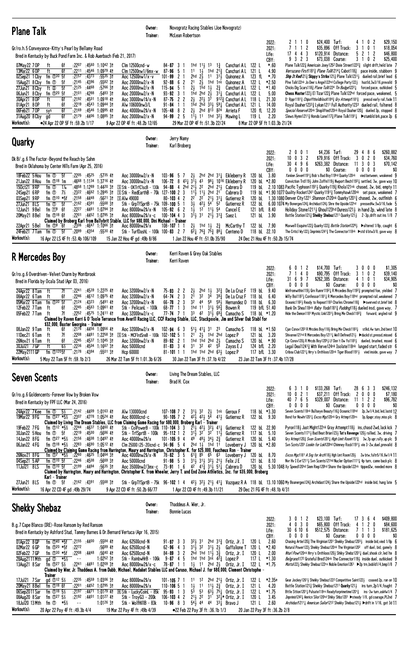| <b>Plane Talk</b>                                                                                                                                                                                                                                                                                                                                                                                                                                                                                                                                                                                                                                                                                                                                                                                                                                                                                                                                                                                                                                                                                                                                                                                                                                                                                                                                                                                               | Owner:<br>Trainer:                                                                                                                                                                      | Novogratz Racing Stables (Joe Novogratz)<br>McLean Robertson                                                                                                                                                                                                                                                  |                                                                                                                                                                                                                                                                                                                                                                                                                                                                                       |                                                                                                                                                                                                                                                                |                                                                                                                                                                                   |                                                                                                                                                                                                                                                                                                                                                                                                                                                                                                                                                                                                                                                                                                                                                                                                                                                                                                                                                                                                                                                                 |                                                                                                                                                              |
|-----------------------------------------------------------------------------------------------------------------------------------------------------------------------------------------------------------------------------------------------------------------------------------------------------------------------------------------------------------------------------------------------------------------------------------------------------------------------------------------------------------------------------------------------------------------------------------------------------------------------------------------------------------------------------------------------------------------------------------------------------------------------------------------------------------------------------------------------------------------------------------------------------------------------------------------------------------------------------------------------------------------------------------------------------------------------------------------------------------------------------------------------------------------------------------------------------------------------------------------------------------------------------------------------------------------------------------------------------------------------------------------------------------------|-----------------------------------------------------------------------------------------------------------------------------------------------------------------------------------------|---------------------------------------------------------------------------------------------------------------------------------------------------------------------------------------------------------------------------------------------------------------------------------------------------------------|---------------------------------------------------------------------------------------------------------------------------------------------------------------------------------------------------------------------------------------------------------------------------------------------------------------------------------------------------------------------------------------------------------------------------------------------------------------------------------------|----------------------------------------------------------------------------------------------------------------------------------------------------------------------------------------------------------------------------------------------------------------|-----------------------------------------------------------------------------------------------------------------------------------------------------------------------------------|-----------------------------------------------------------------------------------------------------------------------------------------------------------------------------------------------------------------------------------------------------------------------------------------------------------------------------------------------------------------------------------------------------------------------------------------------------------------------------------------------------------------------------------------------------------------------------------------------------------------------------------------------------------------------------------------------------------------------------------------------------------------------------------------------------------------------------------------------------------------------------------------------------------------------------------------------------------------------------------------------------------------------------------------------------------------|--------------------------------------------------------------------------------------------------------------------------------------------------------------|
| Gr/ro.h.5 Conveyance-Kitty's Pearl by Bellamy Road<br>Bred in Kentucky by Buck Pond Farm Inc. & Rob Auerbach (Feb 21, 2017)<br>:22 <sup>07</sup> :45 <sup>60</sup> 1:10 <sup>42</sup> 31<br>$C$ lm 12500 $c$ nd-w<br>07May22 7 OP<br>6f<br>ft<br>6f<br>13Mar22 6 OP<br>:2211<br>:4546 1:0979 41<br>ft<br>$C$ lm 12500nw1/6mx-w<br>$:2157$ $:4373$<br>02Sep21 1 Cby<br>fm $\mathbb{D}^{30}$ 5f<br>$:55^{35}31$<br>Aoc 12500nw1/x-v<br>fm ①<br>:2145<br>:4396<br>:5582 31<br>15Aug21 8 Cby<br>-5f<br>Aoc 20000nw2/x-N<br>ft Ø<br>:2125 :4468<br>:5766 3†<br>27Jun21 8 Cby<br>5f<br>Aoc 20000nw2/x-N<br>fm $(D205f$<br>:2101<br>:4288<br>$:5483$ 31<br>06Jun21 8 Cby<br>Aoc 20000nw2/x-N<br>6f<br>:2192:4501<br>1:0918 41<br>30Apr21 8 OP<br>ft<br>Aoc 30000nw1\$/x-N<br>:2219<br>:45 <sup>43</sup> 1:09 <sup>44</sup> 3†<br>01Apr21 80P<br>ft<br>6f<br>Alw 106000nw3/L<br>06Feb21 70P<br>6f<br>:2169<br>:4546 1:0995 41<br>sys<br>Aoc $40000$ nw $2$ \$/x-N<br>6f<br>$:21^{79}$ $:44^{06}$ 1:0885 31<br>Aoc 20000nw2/x-N<br>31Aug20 8 Cby<br>gd<br>Workout(s):<br>●24 Apr 22 OP 5F ft: 59.2b 1/17<br>9 Apr 22 OP 4F ft :48.2b 12/65                                                                                                                                                                                                                                                                               | 84-87<br>101-99<br>$115 - 94 = 5$<br>$93 - 92$<br>87-75<br>91-84<br>$105 - 48$ 8                                                                                                        | 3<br>11<br>$87 - 96 = 5$<br>2hd $2\frac{1}{2}$<br>-2<br>21<br>$92 - 88 = 6$<br>-2<br>$2\frac{1}{2}$<br>-1<br>3<br>$2\frac{1}{2}$<br>22<br>-1<br>$2\frac{1}{2}$<br>2<br>$94 - 99$ 2 5<br>29 Mar 22 OP 4F ft :51.3b 22/24                                                                                       | 1hd $11\frac{1}{2}$ 13<br>$1\frac{3}{4}$<br>$1\frac{1}{2}$<br>1hd $2^{13}$<br>$11 \quad 31\frac{1}{2}$<br>$2\frac{1}{2}$<br>1hd 1nk<br>1 $\overline{h}$ d 1 $\frac{1}{2}$<br>$2\frac{3}{4}$<br>1hd $2hd$ $2\frac{1}{2}$<br>$2^2$ <sub>2</sub> $3^5$<br>1hd 2hd 331 $59\frac{1}{4}$ Canchari AL<br>2hd 813 824<br>$1\frac{11}{2}$ 11 1hd 32, Mawing L                                                                                                                                  | Canchari A L<br>122 L<br>121 L<br>Canchari A L<br>$123$ fL<br>Quinonez A<br>122 L<br>Quinonez A<br>122 L<br>Canchari A L<br>$3i$ Canchari AL<br>122 L<br>118 L<br>9123 Canchari A L<br>121 L<br>120 fL<br>Arrieta F<br>119L<br>8 Mar 22 OP 5F ft 1:03.3b 21/24 | 2022:<br>2<br>110<br>7 1 1 2<br>2021:<br>3<br>$17 \t4 \t4$<br>Life:<br>9 3 2 3<br>CBY:<br>$*.60$<br>4.90<br>*.70<br>$*2.50$<br>$*1.40$<br>5.00<br>21.30<br>14.00<br>12.20<br>2.20 | \$24,400 Turf:<br>\$35,896 Off Track:<br>\$120,914 Distance:<br>5<br>\$73,038 Course:<br>Plane Talk1223 Americain Joey1252 Dixie Street12223 slight drift, held late 7<br>Verrazano First11813 Plane Talk12141 Cabot1183 pace inside, stubborn 9<br><b>Ship It Red</b> 121 <sup>3</sup> Skippy's Strike 121 <sup>3</sup> Plane Talk 1231 <sup>3</sup> dueled rail, brief lead (<br>Plne Talk122nk Jo Dee's Angel122hd College Party1221 hustld, 3w3/16, prevaild 9<br>Chicks Dig Scars 118 $\frac{3}{4}$ Plane Talk1224 Tin Badge1222 $\frac{1}{4}$ forced pace, outkicked 5<br>Chess Master1223 El Tizar1223 Plane Talk122hd forced pace, weakened, 5<br>D' Rppr1181 $\frac{3}{4}$ Chipofftholdblock1184 $\frac{3}{4}$ Gry Attempt1181 $\frac{3}{4}$ pressd early rail, fade 11<br>Royal Daaher12333 Lykan1211 Full Authority1233 dueled rail, faltered 8<br>Special Reserve120nk Shoplifted120nk Royal Daaher1203 dueled 3p, stopped 8<br>Slews Hymn1211 <sup>3</sup> Hondo Lane117 <sup>3</sup> Plane Talk1191 <sup>1</sup> > stumbld brk, pace 2p 6         | \$29,150<br>0 <sub>2</sub><br>41<br>\$18,054<br>3<br>0 <sub>1</sub><br>$\overline{\mathbf{c}}$<br>\$46,800<br>2 1<br>\$25,400<br>31<br>0<br>2                |
| <b>Quarky</b>                                                                                                                                                                                                                                                                                                                                                                                                                                                                                                                                                                                                                                                                                                                                                                                                                                                                                                                                                                                                                                                                                                                                                                                                                                                                                                                                                                                                   | Owner:<br>Trainer:                                                                                                                                                                      | Jerry Namy<br>Karl Broberg                                                                                                                                                                                                                                                                                    |                                                                                                                                                                                                                                                                                                                                                                                                                                                                                       |                                                                                                                                                                                                                                                                |                                                                                                                                                                                   | \$4,236 Turf:                                                                                                                                                                                                                                                                                                                                                                                                                                                                                                                                                                                                                                                                                                                                                                                                                                                                                                                                                                                                                                                   | \$260,882                                                                                                                                                    |
| Dk B/.g.6 The Factor-Beyond the Reach by Sahm<br>Bred in Oklahoma by Center Hills Farm (Apr 25, 2016)<br>18Feb22 5 Hou<br>fm $\overline{O}$ 5f<br>$:22^{05}$ $:45^{25}$<br>$:5735$ 41<br>Aoc 30000nw2/x-N<br>21Jan22 8 Hou<br>fm $\mathbb{O}^{18}$ 1m<br>$:4668$ 1:1134 1:3716 41<br>Aoc 30000nw2/x-N<br>$1\%$<br>$:4858$ 1:1289<br>1:4420 31<br>150ct21 9RP<br>fm ①<br>24Sep21 6RP<br>fm $\overline{O}$ 7%<br>$:23^{22}$ $:46^{62}$ 1:2845 31<br>03Sep21 9RP<br>fm $\mathbb{O}^{10}$ *5f<br>:2158<br>:4448<br>$:5621$ 31<br><b>SAIw 49000</b><br>27Jun21 8LS<br>fm ①<br>5f<br>$:2162$ $:4391$<br>:5568 31<br>fm $\mathbb{Z}^{9}$ 6f<br>:2227 :4481 1:0794 31<br>12Jun21 9 Bel<br>Aoc 80000nw2\$/x-N<br>:2201 :4452 1:0795 31<br>20May 21 8 Bel<br>fm $\mathbb{D}^{18}$ 6f<br>Aoc 80000nw2\$/x-c<br>Claimed by Broberg Karl from Ballybrit Stable, LLC for \$80,000, Dini Michael - Trainer<br>22Apr21 5 Bel<br>fm ①9 6f<br>$: 23^{06}$ $: 46^{47}$ 1:10 <sup>66</sup> 31<br>Aoc 80000nw2\$/x<br>24Feb21 7 Tam<br>fm ①<br>5f<br>$:5530$ 41<br>:20 <sup>99</sup> :43 <sup>54</sup><br>Workout(s):<br>16 Apr 22 LS 4F ft :53.4b 106/109<br>15 Jan 22 Hou 4F gd: 49b 8/86                                                                                                                                                                                                                                          | $103 - 96$ 5<br>$106 - 72$ 8<br>$S$ Stk - OKTrfClscB - 130k 94-88 4<br>$S$ Stk - RedEarthB - 70k 127-100 2 3<br>Stk - GrpTfSprtB - 75k 109-100 5 1<br>Stk - TurfDashL - 100k 100-83 2 7 | $2\frac{1}{2}$<br>-7<br>$43\frac{1}{4}$<br>$3^{11}$<br>2hd $2^{11}$<br>$11\frac{1}{2}$<br>2 <sup>2</sup><br>$80 - 103 + 2$<br>$3\frac{1}{2}$<br>$1\overline{1}$<br>$105 - 92$ 6 2<br>$3^{11}$ <sub>2</sub> $3^{1}$<br>$100 - 104$ 4 3<br>$2\frac{1}{2}$<br>$108 - 107$ 1 1<br>1 Jan 22 Hou 4F ft :51.0b 35/90 | 2hd 2hd $31\frac{1}{4}$ Eikleberry R<br>4 <sup>3</sup><br>$98\frac{1}{4}$ 10 <sup>16</sup> Eikleberry R<br>22<br>2hd<br>2 <sup>1</sup> <sup>3</sup> Cabrera D<br>$11\frac{1}{2}$<br>2hd 21<br>22<br>$2^{11}$ $3^{11}$<br>$42\frac{1}{2}$<br>$54$ <sup>-</sup><br>52<br>$1^2$ $1^1\frac{1}{2}$ 54<br>$2^{11}$ $3^{12}$<br>1hd 1, $2\frac{3}{4}$<br>$6\overline{2}$ $\frac{1}{4}$ $7\overline{6}$ $\frac{3}{4}$ $7\overline{5}$ $\frac{3}{4}$ 8 $\overline{8}$ $\overline{2}$ Centeno D | 120 bL<br>120 bL<br>119 bL<br>Cabrera D<br>120 bL<br>Gutierrez R<br>122 bL<br>Gutierrez R<br>121 bfL 8.40<br>Cancel E<br>121 bL 3.90<br>Saez L<br>McCarthy T<br>122 bL 7.90<br>118 bL 22.10                                                                    | 2001<br>2022:<br>10<br>$03$ 2<br>2021:<br>30 4 9 6<br>Life:<br>$0\,0\,0$<br>0<br>CBY:<br>3.80<br>*2.80<br>24 Dec 21 Hou 4F ft :50.2b 15/74                                        | 29<br>\$79,916 Off Track:<br>- 3<br>\$263,382 Distance:<br>-11<br>\$0 Course:<br>Yankee Seven11911 Bob's Bad Boy119hd Quarky120nk vied between, weakened 9<br>Conviction Trd1193 John Zoffni1193 Nwport Bech11931 settled, 3w, gave way 10<br>2.10 1083 Pacific Typhoon11913 Quarky119 $\frac{3}{4}$ Khola121nk chased, 2w, bid, empty 11<br>119 bL *1.90 1077 Quality Rocket1241 Quarky1191 <sup>3</sup> Tommyhawk120nk set pace, weakened 7<br>1.30 1080 Denver City 1221 Shannon C120nk Quarky 1201 $\frac{3}{4}$ chased, 2w, outfinish 6<br>$6.001074$ My Bonerges124 $\frac{3}{4}$ Archidust124 $\frac{1}{2}$ Shre the Upside122hd pressed4w, 5w3/16, fade 5<br>Holiday Stone 1211, Ghoul123hd Duress 121, in hand 2p, wknd late $8$<br>Battle Station 121 3 Shekky Shebaz 1211 Quarky 121 3 2-3p, drift out ins 1/8 7<br>Maxwell Esquire122 $\frac{3}{4}$ Quarky122 $\frac{3}{4}$ <i>Battle Station</i> 122 <sup>8</sup> $\frac{1}{2}$ <b>De</b> altered 1/8p, caught 6<br>The Critic1 Wy122} Imprimis1241} The Connector118nk ▶ std'd btw3/8, gave way 8 | 8<br>- 6<br>4<br>0 <sub>2</sub><br>0<br>\$34,760<br>3 0 3<br>\$70,142<br>$0\,$ $0\,$ $0\,$<br>\$0<br>0                                                       |
| R Mercedes Boy                                                                                                                                                                                                                                                                                                                                                                                                                                                                                                                                                                                                                                                                                                                                                                                                                                                                                                                                                                                                                                                                                                                                                                                                                                                                                                                                                                                                  | Owner:<br>Trainer:                                                                                                                                                                      | Kerri Raven & Grey Oak Stables<br>Kerri Raven                                                                                                                                                                                                                                                                 |                                                                                                                                                                                                                                                                                                                                                                                                                                                                                       |                                                                                                                                                                                                                                                                |                                                                                                                                                                                   |                                                                                                                                                                                                                                                                                                                                                                                                                                                                                                                                                                                                                                                                                                                                                                                                                                                                                                                                                                                                                                                                 |                                                                                                                                                              |
| Gr/ro.g.6 Overdriven-Velvet Charm by Montbrook<br>Bred in Florida by Ocala Stud (Apr 03, 2016)<br>24Apr22 8 Tam<br>ft<br>7f<br>$:22^{41}$ $:45^{39}$ 1:22 <sup>25</sup> 41<br>Aoc 32000nw2/x-N<br>:2246 :4612 1:0975 41<br>08Apr22 6 Tam<br>ft<br>6f<br>Aoc 32000nw2/x-N<br>05Mar22 6 Tam<br>fm $\mathbb{D}^{30}$ 5f<br>:2124<br>:4323<br>:5491 41<br>Aoc 32000nw2/x-N<br>$:22^{45}$ $:45^{63}$ 1:0961 41<br>12Feb22 7 Tam<br>ft<br>6f<br>Stk - PelicanL - 100k<br>:2252 :4575 1:2411 41<br>ft<br>7f<br>05Feb22 7Tam<br>Aoc 32000nw2/x-c<br>Claimed by Raven Kerri & O'Toole Terrance from Averill Racing LLC, CCF Racing Stable, LLC, Stackpoole, Jim and Silver Oak Stabl for<br>\$32,000, Baxter Georgina - Trainer                                                                                                                                                                                                                                                                                                                                                                                                                                                                                                                                                                                                                                                                                          |                                                                                                                                                                                         | $75 - 93$ 2 2<br>$2\frac{1}{2}$<br>2 <sup>1</sup><br>$64 - 74$ 2<br>-3<br>32<br>$66 - 78$ 2 3<br>$68 - 77$ 1<br>3<br>1hd 11<br>3 <sup>3</sup><br>$77 - 74$ 7 1                                                                                                                                                | 2hd $1\frac{1}{2}$<br>$3^{2}\frac{3}{4}$<br>3 <sup>2</sup><br>3 <sup>4</sup><br>$38\frac{3}{4}$<br>44<br>58<br>58 <sub>3</sub><br>$31\frac{1}{2}$ 56 $\frac{3}{4}$<br>42 $3^{11}$ 6 <sup>83</sup> / <sub>2</sub> Camacho S                                                                                                                                                                                                                                                            | De La Cruz F<br>119 bL<br>118 bL<br>De La Cruz F<br>Hernandez 0<br>118 bL<br>119 bfL 51.40<br>Bowen R<br>118 bL *1.20                                                                                                                                          | 12<br>2022:<br>$\mathbf 0$<br>6<br>7 1 4 0<br>2021:<br>31 6 9 7<br>Life:<br>$0\ 0\ 0\ 0$<br>CBY:<br>9.40<br>6.40<br>6.30                                                          | \$14,700 Turf:<br>\$90,795<br>Off Track:<br>\$262,385<br>Distance:<br>\$0 Course:<br>Winfromwithin119} Grn Runnr11921 R Mrcedes Boy11923 prompted foe, yielded 7<br>Willy Boi11873 Confessor11811 R Mercedes Boy118hd prompted rail, weakened 7<br>Oceanic1182 } Ready to Repeat1183 Charles Chrome118 } > > swerved st, brief bid 8<br>Bank On Shea118nk Baby Yoda11813 Pudding1183 dueled insd. gave way. 7<br>Hide the Demon1181 Mystic Link12011, Bring Me Check1182 $\frac{3}{4}$ forward, angled rail 9                                                                                                                                                                                                                                                                                                                                                                                                                                                                                                                                                   | \$1,305<br>3000<br>3 1 0 2<br>\$39,140<br>\$34,905<br>41<br>0<br>-1<br>\$0<br>0000                                                                           |
| :2176<br>:4456 1:0956 41<br>Aoc 32000nw2/x-N<br>08Jan22 9Tam<br>6f<br>ft<br>11Dec21 6 Tam<br>7f<br>:2208<br>:4481 1:2258 31<br>ft<br>:4537 1:1045 31<br>26Nov21 6 Tam<br>6f<br>:2245<br>ft<br>Aoc 32000nw2/x-N<br>$6\%$<br>$:22^{36}$<br>$1:1667$ 31<br>30Ju121 7 GP<br>ft<br>:4504<br>Aoc 50000cnd<br>$fm$ $0^{120}$<br>22May 2111 GP<br>$:21^{78}$ :4384<br>:550131<br>Hcp 60000<br>Workout(s):<br>26 Mar 22 Tam 5F ft 1:01.3b 6/26<br>5 May 22 Tam 5F ft :59.1b 2/3                                                                                                                                                                                                                                                                                                                                                                                                                                                                                                                                                                                                                                                                                                                                                                                                                                                                                                                                          | $102 - 94 = 6$<br>$S$ Stk - MCFIrdSreB - 100k 102-102 5                                                                                                                                 | -3<br>$89 - 92$ 2 1<br>$81 - 83$ 3 4<br>$81 - 101$ 1 1<br>30 Jan 22 Tam 3F ft :37.1b 4/22                                                                                                                                                                                                                     | $51\frac{1}{2}$ 41 $\frac{1}{4}$ 31<br>23<br>$21 \t23$ 1hd 2hd<br>1hd 1hd 2hd<br>2 <sub>3</sub><br>$31 \t32 \t42$<br>55<br>1hd 1hd 2hd $63\frac{1}{2}$ Lopez P                                                                                                                                                                                                                                                                                                                        | 118 bl $*1.50$<br>Camacho S<br>121 bL 3.20<br>Lopez P<br>120 bL *.90<br>Camacho S<br>Zayas E J<br>124 bfL 2.20<br>117 bfL 3.30                                                                                                                                 | 23 Jan 22 Tam 3F ft : 37.4b 17/28                                                                                                                                                 | Cjun Csnov1203 R Mrcdes Boy1184 Bring Me Check11834 stlkd, 4w turn, 2nd best 10<br>Shivaree121hd R Mercedes Boy1211 <sub>4</sub> Well Defined121 <sub>2</sub> ▶duckd st,pressd,missed 6<br>Cjn Csnov120 $\frac{1}{2}$ R Mrcds Boy120 <sup>5</sup> $\frac{1}{2}$ Lf Don't Ow Yo118 <sup>3</sup> $\frac{1}{2}$ dueled, brushed, mssed 6<br>Legal Deal1241 $\frac{3}{4}$ With Verve124nk Isolate118nk lunged start, faded str 6<br>Cribou Club1221; Hrry's Onthloos120nk Tiger Blood1191; vied inside, gave way 7                                                                                                                                                                                                                                                                                                                                                                                                                                                                                                                                                  |                                                                                                                                                              |
| <b>Seven Scents</b>                                                                                                                                                                                                                                                                                                                                                                                                                                                                                                                                                                                                                                                                                                                                                                                                                                                                                                                                                                                                                                                                                                                                                                                                                                                                                                                                                                                             | Owner:<br>Trainer:                                                                                                                                                                      | Living The Dream Stables, LLC<br>Brad H. Cox                                                                                                                                                                                                                                                                  |                                                                                                                                                                                                                                                                                                                                                                                                                                                                                       |                                                                                                                                                                                                                                                                |                                                                                                                                                                                   |                                                                                                                                                                                                                                                                                                                                                                                                                                                                                                                                                                                                                                                                                                                                                                                                                                                                                                                                                                                                                                                                 |                                                                                                                                                              |
| Gr/ro.g.6 Goldencents-Forever Vow by Broken Vow<br>Bred in Kentucky by FPF LLC (Mar 24, 2016)<br>24Apr22 7 Kee fm $\Phi$ 5%<br>:21 <sup>42</sup> :44 <sup>09</sup> 1:01 <sup>63</sup> 4†<br>Alw 130000cnd<br>19Mar22 9 FG<br>fm $\Phi$ <sup>27</sup> *5½ :23 <sup>07</sup> :47 <sup>78</sup> 1:05 <sup>24</sup> 41<br>Aoc $80000$ cnd-c<br>Claimed by Living The Dream Stables, LLC from Claiming Game Racing for \$80,000, Broberg Karl - Trainer<br>19Feb22 7FG<br>fm $\oplus$ 12 *5½<br>:2244<br>:46 <sup>37</sup> 1:04 <sup>60</sup> 41<br>30Jan22 5 Hou<br>fm $\overline{O}$ 5f<br>$:22^{19}$ $:45^{00}$<br>$:5686$ 41<br>Stk - TrfSprtB - 100k<br>fm $\Phi^{27}$ *5½<br>:2156 :4608 1:0497 41<br>14Jan22 8 FG<br>Aoc 40000nw2\$/x<br>06Jan22 4FG<br>fm ①18 *5% :2283 :4690 1:0512 41<br>Claimed by Claiming Game Racing from Harrington, Maury and Harrington, Christopher K. for \$25,000, Faucheux Ron - Trainer<br>26Nov21 8 FG<br>:2260 :4625<br>1:0464 31<br>fm $\overline{O7}$ *5½<br>Aoc 40000nw2\$/x-N<br>$:22^{46}$ $:45^{08}$<br>04Sep21 5 AP<br>fm $\mathbb{O}^{10}$ 5f<br>$:5669$ 31<br>Aoc 50000cnd<br>:2199:4484<br>:5635.31<br>11Jul21 8LS<br>fm $\mathbb{O}^{10}$ 5f<br>Claimed by Harrington, Maury and Harrington, Christopher K. from Wheeler, Jerry T. and End Zone Athletics, Inc. for \$35,000, Broberg<br>Karl - Trainer<br>27Jun21 8LS<br>fm ①<br>:2162 :4391<br>:5568 31<br>- 5f | Stk - ColPowerB - 100k 110-104 3 3<br>Clm 25000 (25-20)cnd-c 94-96 5 4<br>Aoc 35000nw2/3mx-c 73-91 1 6 $4^{2}$ $4^{13}$ 31 $\frac{1}{2}$ 51 $\frac{1}{4}$ Cabrera D                     | $107 - 108$ 7 2<br>90-105 7 2 $4^{2}$ $4^{2}$ $4^{2}$ $5^{4}$ $4^{1}$ Gutierrez R<br>$95 - 112$ 1 2<br>$31\frac{1}{2}$ $32$<br>$101 - 10594$<br>49<br>$78 - 82$ 3 5<br>$6^{13}$ 85<br>$91 - 98$ 5 3                                                                                                           | 31, 32 2, 1nk Geroux F<br>$2^{11}$ , $4^{21}$ , $3^{21}$ , $4^{11}$<br>$3^{2}$ 11 $\frac{1}{2}$<br>481 341 23<br>2hd $1\frac{1}{2}$ 1hd 11<br>$65 \t 63$<br>$3^{11}_{2}$ $3^{11}_{2}$ $3^{21}_{2}$ $2^{11}_{2}$ Felix JE                                                                                                                                                                                                                                                              | 118 bL *3.30<br>122 bL 9.30<br>122 bL 22.90<br>Gutierrez R<br>117 bL 5.10<br>Gutierrez R<br>120 bL 5.40<br>Gutierrez R<br>Loveberry J 120 bL *2.80<br>120 bL<br>Loveberry J<br>121 bL 8.10<br>120 bL                                                           | 2022:<br>6 3 1 0<br>$10 \t0 \t2 \t1$<br>2021:<br>40 7 6 5<br>Life:<br>$0\quad 0\quad 0\quad 0$<br>CBY:<br>8.70                                                                    | \$133,268 Turf:<br>Off Track:<br>$\overline{c}$<br>\$37,211<br>\$329,007 Distance:<br>-11<br>\$0 Course:<br>0<br>Seven Scents118nk Bullseye Beauty1163 Oceanic118hd<br>Bond for Nowhr12011 Excss Mgc120nk Gry Attmpt120ns<br>Pyron118} Just Might122nk Gray Attempt118} ins, chasd 2wd, lack kck 7<br>Seven Scents11713 Bad Beat Brian1233 Tut's Revenge 1203 rallied, 3w, driving 7<br>Gry Attmpt120 $\frac{3}{4}$ Sven Scents1201 $\frac{1}{4}$ High Limit Room1151 $\frac{3}{4}$ 3w, 7p upr, rally, up plc 9<br>Svn Scnts1201 Lookin for Loki120hd Chimney Rock11913 vie 3-2w, duel, prevaild 8<br><i>Excss Mgc</i> 1181 <i>A Sng for Arch</i> 118} Hgh Lmt Room120} 2w btw, faltr5/16, 6w1/4 11<br>Nvr Hv I Evr12113 Svn Scents121hd Nucler Option11113 4p turn, came back plc 8<br>5.30 1048 Xy Speed120hd Siem Riep120hd Share the Upside122nk tipped2w, needed more 8<br>Stk - GrpTfSprtB - 75k 96-102 1 4 423 323 213 413 Vazquez R A 118 bL 13.10 1060 My Boanerges1243 Archidust1243 Share the Upside 122hd inside bid, hung late 5                   | \$246,132<br>33<br>286<br>$0\ 0\ 0$<br>\$7,180<br>1 2 2<br>\$96,782<br>$0\quad 0\quad 0$<br>\$0<br>2p, 3w1/4, bid, led, lastd 12<br>3p,6pupr,stay,miss.plc 8 |
| Workout(s):<br>16 Apr 22 CD 4F gd: 49b 29/74<br>9 Apr 22 CD 4F ft: 50.2b 66/77                                                                                                                                                                                                                                                                                                                                                                                                                                                                                                                                                                                                                                                                                                                                                                                                                                                                                                                                                                                                                                                                                                                                                                                                                                                                                                                                  |                                                                                                                                                                                         | 1 Apr 22 CD 4F ft :49.3b 11/21                                                                                                                                                                                                                                                                                |                                                                                                                                                                                                                                                                                                                                                                                                                                                                                       | 29 Dec 21 FG 4F ft :48.1b 4/31                                                                                                                                                                                                                                 |                                                                                                                                                                                   |                                                                                                                                                                                                                                                                                                                                                                                                                                                                                                                                                                                                                                                                                                                                                                                                                                                                                                                                                                                                                                                                 |                                                                                                                                                              |
| <b>Shekky Shebaz</b><br>B.g.7 Cape Blanco (IRE)-Rose Ransom by Red Ransom<br>Bred in Kentucky by Ashford Stud, Tammy Barnes & Dr. Bernard Vertuca (Apr 16, 2015)<br>01Apr22 8 GP<br>fm $\overline{O}^{40}$ *5f :2155 :4400<br>$:5584$ 41<br>Aoc 62500cnd-N<br>02Mar22 6 GP<br>fm $\mathbb{D}^{20}$ *5f<br>:2272<br>:5689 41<br>Aoc 62500cnd-N<br>$:22^{08}$ $:44^{48}$<br>02Feb22 7GP<br>fm $\sqrt{D}^{30}$ *5f<br>:5640 41<br>Aoc 62500cnd-N<br>$1:0252$ 3t<br>28Aug2111 Mth<br>Stk - RainbwHrB - 106k<br>$\sim$ $-$<br>:2241 :4481 1:0209 31<br>fm $\Phi^{27}$ 5%<br>Aoc 80000nw2\$/x-c<br>13Aug21 8 Sar<br>Claimed by Wier, Jr. Thaddeus A. from Dubb, Michael, Madaket Stables LLC and Caruso, Michael J. for \$80,000, Clement Christophe -<br>Trainer<br>17Jul21 7 Sar<br>ad $\oplus$ <sup>12</sup> 5 <sup>1</sup> / <sub>2</sub><br>$:22^{35}$ $:45^{59}$ 1:0306 31<br>Aoc 80000nw2\$/x<br>20May21 8 Bel<br>fm $\mathbb{D}^{18}$ 6f<br>:2201<br>$:4452$ 1:0795 31<br>Aoc 80000nw2\$/x<br>fm $\Phi$ <sup>18</sup> 5 <sup>1</sup> / <sub>2</sub><br>:2197:4471:1:0179.41<br>R Stk - LuckyCoinL - 85k<br>06Sep2011 Sar                                                                                                                                                                                                                                                                                      | Owner:<br>Trainer:                                                                                                                                                                      | Thaddeus A. Wier, Jr.<br><b>Bonnie Lucas</b><br>321 31<br>$91 - 97$ 3<br>-3<br>$3^{1\bar{1}}$ 32<br>-3<br>$62 - 96 = 4$<br>$84 - 89$ 3 2<br>$9 - 87$ 4 5<br>$78 - 87$ 1 1<br>$1\frac{1}{2}$<br>$101 - 105$ 7 1<br>11<br>$1\frac{1}{2}$<br>$110 - 106$ 5 1<br>$5^{\overline{3}}$<br>$95 - 93$ 1 3              | 2hd $31\frac{3}{2}$ Ortiz, Jr. I<br>$3^{11}$ $2^{1}$<br>2hd 1hd 11, $3\frac{5}{4}$<br>1hd 1hd $3nk$ 42 $\frac{3}{2}$<br>$11$ 2hd $2\frac{1}{2}$<br>2hd $2^{11}$ Ortiz, Jr. I<br>12<br>1 <sup>1</sup><br>$11\frac{1}{2}$ $2\frac{3}{4}$<br>5 <sup>3</sup><br>$63\frac{1}{2}$ 75 $\frac{1}{4}$ Ortiz, Jr. I                                                                                                                                                                             | 120 L<br>Gaffalione T<br>120 L<br>Ortiz, Jr. I<br>120 L<br>117L<br>Lopez P<br>122 L<br>Ortiz, Jr. I<br>122 L<br>Ortiz, Jr. I<br>121 L<br>122 L                                                                                                                 | 3 0 1 2<br>2022:<br>4030<br>2021:<br>30 6 10 6<br>Life:<br>$0\,0\,0\,0$<br>CBY:<br>2.60<br>$*2.40$<br>2.00<br>$*1.30$<br>$*1.75$<br>*2.35e<br>4.20<br>$*1.75$                     | \$23,100 Turf:<br>\$65,800 Off Track:<br>\$512,575 Distance:<br>\$0 Course:<br>Chasing Artie 120 $\frac{3}{4}$ The Virginian 1201 Shekky Shebaz 1203 $\frac{1}{2}$ inside bid, vied 1/8p 6<br>Natural Power1223 Shekky Shebaz120nk The Virginian120 <sup>2</sup> off duel, bid, gamely 8<br>Nturl Powr120nk Hrry's Onthloos120} Shkky Shebz1201} duel, shook clr, led Ite 8<br>Belgrano1172 Grateful Bred124nk The Connector119} inside duel, outkicked 9<br><i>Matta</i> 122} Shekky Shebaz122ns Noble Emotion1261 ▶ 2p trn, bobld1/4, bmp1/8 7<br>Gear Jockey1261 <sup>1</sup> / <sub>2</sub> Shekky Shebaz122 <sup>2</sup> Competitive Saint122 <sup>1</sup> / <sub>2</sub> coaxed 2p, ran on 10<br>Battle Station 1213 Shekky Shebaz 1211 Quarky 1213 ins turn, 2p1/4, fought 7<br>Bttle Sttion12011 Pulsate118ns Readyforprimetime12013 ins-3w turn, ask4w1/4 7                                                                                                                                                                                            | \$409,800<br>17 3 6 4<br>4 1 2<br>\$84,600<br>0<br>3<br>\$181,625<br>711<br>$0\,0\,0\,0$<br>\$0                                                              |
| fm $\oplus$ 27 $5\%$<br>:2192<br>:44 <sup>01</sup> 1:01 <sup>27</sup> 41<br>08Aug20 8 Sar<br>Stk - TroyG3 - 200k<br>$1:01^{26}31$<br>18Jul20 13 Mth<br>*5½<br>Stk - WolfHil1B - 83k<br>fm ①<br>$\sim$ $-$<br>Workout(s):<br>20 Apr 22 Pay 4F ft : 49.3b 4/4<br>19 Mar 22 Pay 4F ft: 49b 4/39                                                                                                                                                                                                                                                                                                                                                                                                                                                                                                                                                                                                                                                                                                                                                                                                                                                                                                                                                                                                                                                                                                                    |                                                                                                                                                                                         | $106 - 103$ 4 2<br>$2^{11}$ $2^{2}$<br>$10 - 96 = 8$<br>3<br>•22 Feb 22 Pay 3F ft: 36.1b 1/3                                                                                                                                                                                                                  | $3^{1}$ $3^{2}$ $\frac{1}{2}$ $\frac{1}{2}$ Ortiz, Jr, I<br>$54\frac{1}{2}$ 44 44<br>$33$ Bravo J                                                                                                                                                                                                                                                                                                                                                                                     | 120 L<br>121 L<br>20 Jan 22 Pay 3F ft :36.2b 2/8                                                                                                                                                                                                               | 3.45<br>2.60                                                                                                                                                                      | Imprimis1242} Amricn Silor120hd Shkky Shbz1201 ▶ steady 1/8, gd courage, PL2nd 7<br>Archidust1211 <sub>4</sub> American Sailor121 <sup>2</sup> Shekky Shebaz121 <sub>2</sub> ► drift in 1/16, got 3d 11                                                                                                                                                                                                                                                                                                                                                                                                                                                                                                                                                                                                                                                                                                                                                                                                                                                         |                                                                                                                                                              |